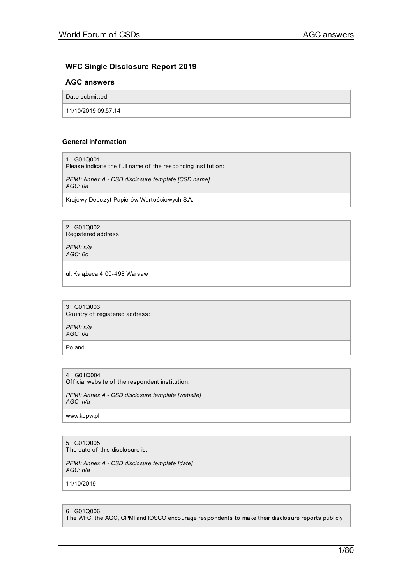# **WFC Single Disclosure Report 2019**

# **AGC answers**

Date submitted

11/10/2019 09:57:14

# **General information**

1 G01Q001

Please indicate the full name of the responding institution:

*PFMI: Annex A - CSD disclosure template [CSD name] AGC: 0a*

Krajowy Depozyt Papierów Wartościowych S.A.

2 G01Q002 Registered address:

*PFMI: n/a AGC: 0c*

ul. Książęca 4 00-498 Warsaw

3 G01Q003 Country of registered address:

*PFMI: n/a AGC: 0d*

Poland

4 G01Q004 Official website of the respondent institution:

*PFMI: Annex A - CSD disclosure template [website] AGC: n/a*

www.kdpw.pl

# 5 G01Q005

The date of this disclosure is:

*PFMI: Annex A - CSD disclosure template [date] AGC: n/a*

11/10/2019

6 G01Q006

The WFC, the AGC, CPMI and IOSCO encourage respondents to make their disclosure reports publicly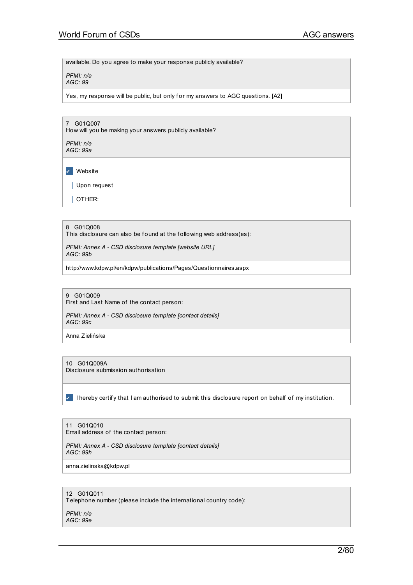available. Do you agree to make your response publicly available?

*PFMI: n/a AGC: 99*

Yes, my response will be public, but only for my answers to AGC questions. [A2]

| G01Q007<br>$\overline{7}$<br>How will you be making your answers publicly available? |
|--------------------------------------------------------------------------------------|
| PFMI: n/a<br>AGC: 99a                                                                |
| Website                                                                              |
| Upon request                                                                         |
| OTHER:                                                                               |
|                                                                                      |

8 G01Q008 This disclosure can also be found at the following web address(es):

*PFMI: Annex A - CSD disclosure template [website URL] AGC: 99b*

http://www.kdpw.pl/en/kdpw/publications/Pages/Questionnaires.aspx

9 G01Q009 First and Last Name of the contact person:

*PFMI: Annex A - CSD disclosure template [contact details] AGC: 99c*

Anna Zielińska

10 G01Q009A Disclosure submission authorisation

✔ I hereby certif y that I am authorised to submit this disclosure report on behalf of my institution.

11 G01Q010 Email address of the contact person:

*PFMI: Annex A - CSD disclosure template [contact details] AGC: 99h*

anna.zielinska@kdpw.pl

12 G01Q011 Telephone number (please include the international country code):

*PFMI: n/a AGC: 99e*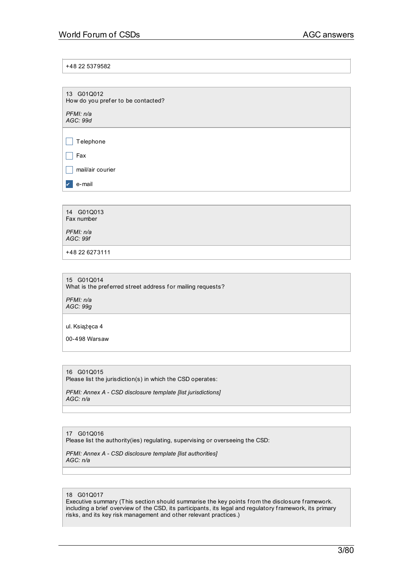+48 22 5379582

| 13 G01Q012<br>How do you prefer to be contacted? |  |
|--------------------------------------------------|--|
| PFMI: n/a<br>AGC: 99d                            |  |
|                                                  |  |
| Telephone                                        |  |
| Fax                                              |  |
| mail/air courier                                 |  |
| e-mail                                           |  |
|                                                  |  |

| 14 G01Q013 |  |
|------------|--|
| Fax number |  |
|            |  |

*PFMI: n/a AGC: 99f*

+48 22 6273111

15 G01Q014 What is the preferred street address for mailing requests?

*PFMI: n/a AGC: 99g*

ul. Książęca 4

00-498 Warsaw

# 16 G01Q015

Please list the jurisdiction(s) in which the CSD operates:

*PFMI: Annex A - CSD disclosure template [list jurisdictions] AGC: n/a*

### 17 G01Q016

Please list the authority(ies) regulating, supervising or overseeing the CSD:

*PFMI: Annex A - CSD disclosure template [list authorities] AGC: n/a*

### 18 G01Q017

Executive summary (This section should summarise the key points from the disclosure framework. including a brief overview of the CSD, its participants, its legal and regulatory framework, its primary risks, and its key risk management and other relevant practices.)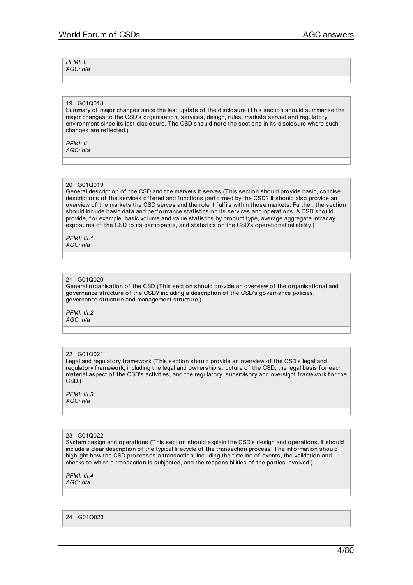*PFMI: I. AGC: n/a*

# 19 G01Q018

Summary of major changes since the last update of the disclosure (This section should summarise the major changes to the CSD's organisation, services, design, rules, markets served and regulatory environment since its last disclosure. The CSD should note the sections in its disclosure where such changes are ref lected.)

*PFMI: II. AGC: n/a*

#### 20 G01Q019

General description of the CSD and the markets it serves (This section should provide basic, concise descriptions of the services offered and functions performed by the CSD? It should also provide an overview of the markets the CSD serves and the role it fulfils within those markets. Further, the section should include basic data and perf ormance statistics on its services and operations. A CSD should provide, for example, basic volume and value statistics by product type, average aggregate intraday exposures of the CSD to its participants, and statistics on the CSD's operational reliability.)

*PFMI: III.1. AGC: n/a*

#### 21 G010020

General organisation of the CSD (This section should provide an overview of the organisational and governance structure of the CSD? including a description of the CSD's governance policies, governance structure and management structure.)

*PFMI: III.2 AGC: n/a*

### 22 G01Q021

Legal and regulatory framework (This section should provide an overview of the CSD's legal and regulatory framework, including the legal and ownership structure of the CSD, the legal basis for each material aspect of the CSD's activities, and the regulatory, supervisory and oversight framework for the CSD.)

*PFMI: III.3 AGC: n/a*

#### 23 G01Q022

System design and operations (This section should explain the CSD's design and operations. It should include a clear description of the typical lifecycle of the transaction process. The information should highlight how the CSD processes a transaction, including the timeline of events, the validation and checks to which a transaction is subjected, and the responsibilities of the parties involved.)

*PFMI: III.4 AGC: n/a*

24 G01Q023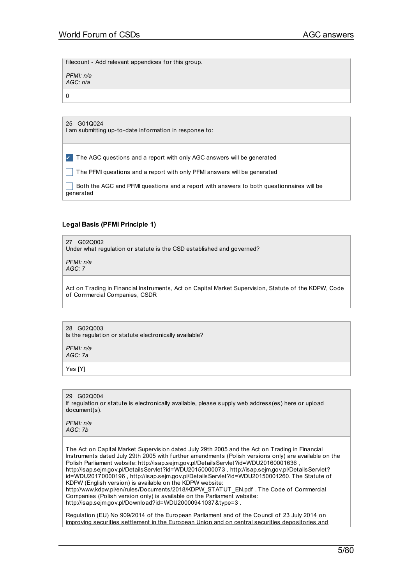filecount - Add relevant appendices for this group.

*PFMI: n/a AGC: n/a*

0

#### 25 G01Q024

I am submitting up-to-date inf ormation in response to:

✔ The AGC questions and a report with only AGC answers will be generated

 $\Box$  The PFMI questions and a report with only PFMI answers will be generated

 $\Box$  Both the AGC and PFMI questions and a report with answers to both questionnaires will be generated

# **Legal Basis (PFMI Principle 1)**

27 G02Q002 Under what regulation or statute is the CSD established and governed?

*PFMI: n/a AGC: 7*

Act on Trading in Financial Instruments, Act on Capital Market Supervision, Statute of the KDPW, Code of Commercial Companies, CSDR

# 28 G02Q003

Is the regulation or statute electronically available?

*PFMI: n/a AGC: 7a*

Yes [Y]

29 G02Q004 If regulation or statute is electronically available, please supply web address(es) here or upload document(s).

*PFMI: n/a AGC: 7b*

The Act on Capital Market Supervision dated July 29th 2005 and the Act on Trading in Financial Instruments dated July 29th 2005 with f urther amendments (Polish versions only) are available on the Polish Parliament website: http://isap.sejm.gov.pl/DetailsServlet?id=WDU20160001636, http://isap.sejm.gov.pl/DetailsServlet?id=WDU20150000073 , http://isap.sejm.gov.pl/DetailsServlet? id=WDU20170000196 , http://isap.sejm.gov.pl/DetailsServlet?id=WDU20150001260. The Statute of KDPW (English version) is available on the KDPW website: http://www.kdpw.pl/en/rules/Documents/2018/KDPW\_STATUT\_EN.pdf . The Code of Commercial Companies (Polish version only) is available on the Parliament website:

http://isap.sejm.gov.pl/Download?id=WDU20000941037&type=3 .

Regulation (EU) No 909/2014 of the European Parliament and of the Council of 23 July 2014 on improving securities settlement in the European Union and on central securities [depositories](http://eur-lex.europa.eu/legal-content/EN/AUTO/?uri=uriserv:OJ.L_.2014.257.01.0001.01.ENG&toc=OJ:L:2014:257:TOC) and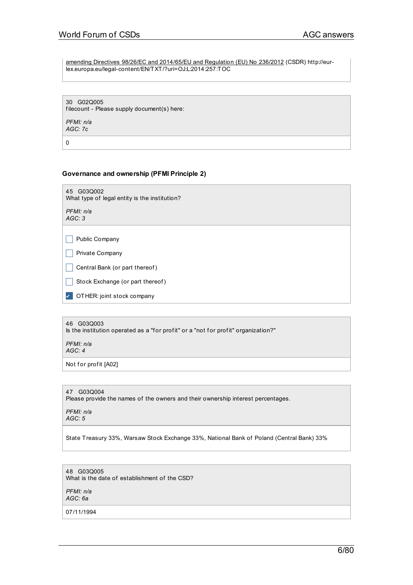amending Directives 98/26/EC and 2014/65/EU and Regulation (EU) No 236/2012 (CSDR) http://eurlex.europa.eu/legal-content/EN/TXT/?uri=OJ:L:2014:257:TOC

30 G02Q005 filecount - Please supply document(s) here: *PFMI: n/a*

*AGC: 7c*

0

# **Governance and ownership (PFMI Principle 2)**

45 G03Q002 What type of legal entity is the institution?

*PFMI: n/a AGC: 3*

 $\Box$  Public Company

 $\Box$  Private Company

 $\Box$  Central Bank (or part thereof)

Stock Exchange (or part thereof)

✔ OTHER: joint stock company

#### 46 G03Q003

Is the institution operated as a "for profit" or a "not for profit" organization?"

*PFMI: n/a AGC: 4*

Not for profit [A02]

# 47 G03Q004

Please provide the names of the owners and their ownership interest percentages.

*PFMI: n/a AGC: 5*

State Treasury 33%, Warsaw Stock Exchange 33%, National Bank of Poland (Central Bank) 33%

#### 48 G03Q005 What is the date of establishment of the CSD?

*PFMI: n/a AGC: 6a*

07/11/1994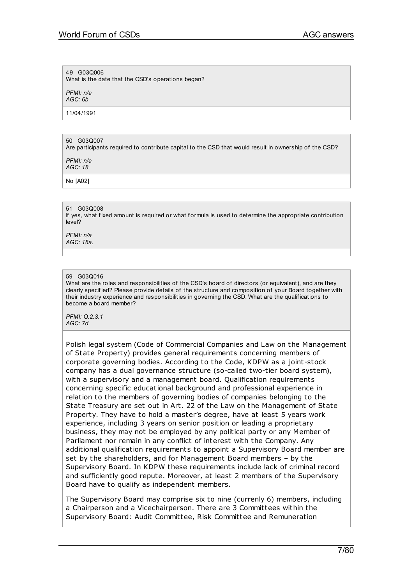### 49 G03Q006

What is the date that the CSD's operations began?

*PFMI: n/a*

*AGC: 6b*

11/04/1991

## 50 G03Q007

Are participants required to contribute capital to the CSD that would result in ownership of the CSD?

*PFMI: n/a AGC: 18*

No [A02]

#### 51 G03Q008

If yes, what fixed amount is required or what formula is used to determine the appropriate contribution level?

*PFMI: n/a AGC: 18a.*

## 59 G03Q016

What are the roles and responsibilities of the CSD's board of directors (or equivalent), and are they clearly specif ied? Please provide details of the structure and composition of your Board together with their industry experience and responsibilities in governing the CSD. What are the qualif ications to become a board member?

*PFMI: Q.2.3.1 AGC: 7d*

Polish legal system (Code of Commercial Companies and Law on the Management of State Property) provides general requirements concerning members of corporate governing bodies. According to the Code, KDPW as a joint-stock company has a dual governance st ructure (so-called two-tier board system), with a supervisory and a management board. Qualification requirements concerning specific educational background and professional experience in relation to the members of governing bodies of companies belonging to the State Treasury are set out in Art. 22 of the Law on the Management of State Property. They have to hold a master's degree, have at least 5 years work experience, including 3 years on senior position or leading a proprietary business, they may not be employed by any political party or any Member of Parliament nor remain in any conflict of interest with the Company. Any additional qualification requirements to appoint a Supervisory Board member are set by the shareholders, and for Management Board members – by the Supervisory Board. In KDPW these requirements include lack of criminal record and sufficiently good repute. Moreover, at least 2 members of the Supervisory Board have to qualify as independent members.

The Supervisory Board may comprise six to nine (currenly 6) members, including a Chairperson and a Vicechairperson. There are 3 Committees within the Supervisory Board: Audit Committee, Risk Committee and Remuneration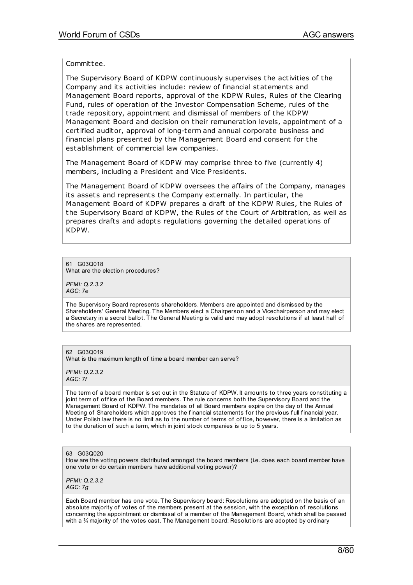Committee.

The Supervisory Board of KDPW continuously supervises the activities of the Company and its activities include: review of financial statements and Management Board reports, approval of the KDPW Rules, Rules of the Clearing Fund, rules of operation of the Investor Compensation Scheme, rules of the t rade repository, appointment and dismissal of members of the KDPW Management Board and decision on their remuneration levels, appointment of a certified auditor, approval of long-term and annual corporate business and financial plans presented by the Management Board and consent for the establishment of commercial law companies.

The Management Board of KDPW may comprise three to five (currently 4) members, including a President and Vice Presidents.

The Management Board of KDPW oversees the affairs of the Company, manages its assets and represents the Company externally. In particular, the Management Board of KDPW prepares a draft of the KDPW Rules, the Rules of the Supervisory Board of KDPW, the Rules of the Court of Arbit ration, as well as prepares drafts and adopts regulations governing the detailed operations of KDPW.

61 G03Q018 What are the election procedures?

*PFMI: Q.2.3.2 AGC: 7e*

The Supervisory Board represents shareholders. Members are appointed and dismissed by the Shareholders' General Meeting. The Members elect a Chairperson and a Vicechairperson and may elect a Secretary in a secret ballot. The General Meeting is valid and may adopt resolutions if at least half of the shares are represented.

62 G03Q019

What is the maximum length of time a board member can serve?

*PFMI: Q.2.3.2 AGC: 7f*

The term of a board member is set out in the Statute of KDPW. It amounts to three years constituting a joint term of office of the Board members. The rule concerns both the Supervisory Board and the Management Board of KDPW. The mandates of all Board members expire on the day of the Annual Meeting of Shareholders which approves the financial statements for the previous full financial year. Under Polish law there is no limit as to the number of terms of office, however, there is a limitation as to the duration of such a term, which in joint stock companies is up to 5 years.

#### 63 G03Q020

How are the voting powers distributed amongst the board members (i.e. does each board member have one vote or do certain members have additional voting power)?

*PFMI: Q.2.3.2 AGC: 7g*

Each Board member has one vote. The Supervisory board: Resolutions are adopted on the basis of an absolute majority of votes of the members present at the session, with the exception of resolutions concerning the appointment or dismissal of a member of the Management Board, which shall be passed with a  $\frac{3}{4}$  majority of the votes cast. The Management board: Resolutions are adopted by ordinary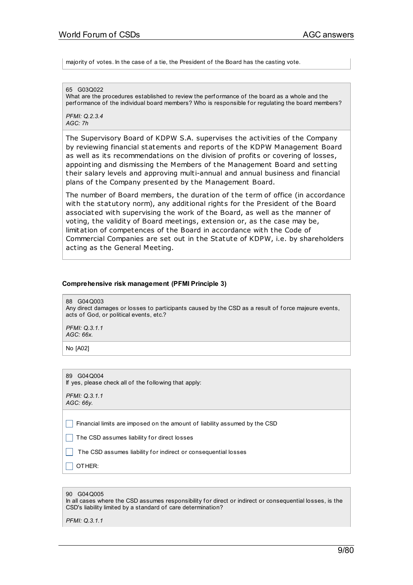majority of votes. In the case of a tie, the President of the Board has the casting vote.

65 G03Q022

What are the procedures established to review the performance of the board as a whole and the perf ormance of the individual board members? Who is responsible for regulating the board members?

*PFMI: Q.2.3.4 AGC: 7h*

The Supervisory Board of KDPW S.A. supervises the activities of the Company by reviewing financial statements and reports of the KDPW Management Board as well as its recommendations on the division of profits or covering of losses, appointing and dismissing the Members of the Management Board and setting their salary levels and approving multi-annual and annual business and financial plans of the Company presented by the Management Board.

The number of Board members, the duration of the term of office (in accordance with the statutory norm), any additional rights for the President of the Board associated with supervising the work of the Board, as well as the manner of voting, the validity of Board meetings, extension or, as the case may be, limitation of competences of the Board in accordance with the Code of Commercial Companies are set out in the Statute of KDPW, i.e. by shareholders acting as the General Meeting.

## **Comprehensive risk management (PFMI Principle 3)**

88 G04Q003

Any direct damages or losses to participants caused by the CSD as a result of force majeure events, acts of God, or political events, etc.?

*PFMI: Q.3.1.1 AGC: 66x.*

No [A02]

89 G04Q004 If yes, please check all of the following that apply:

*PFMI: Q.3.1.1 AGC: 66y.*

 $\Box$  Financial limits are imposed on the amount of liability assumed by the CSD

 $\Box$  The CSD assumes liability for direct losses

 $\Box$  The CSD assumes liability for indirect or consequential losses

 $\Box$  OTHER:

| 90 | G04Q005 |
|----|---------|
|----|---------|

In all cases where the CSD assumes responsibility for direct or indirect or consequential losses, is the CSD's liability limited by a standard of care determination?

*PFMI: Q.3.1.1*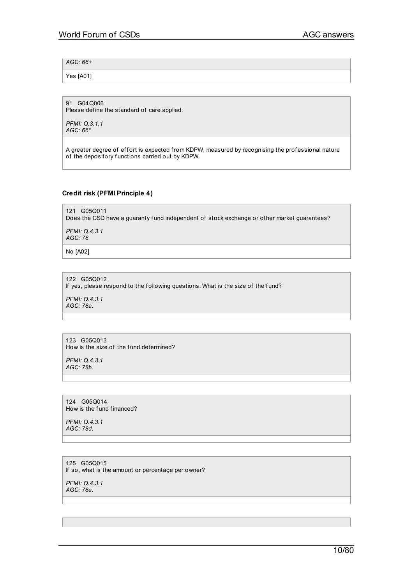# *AGC: 66+*

Yes [A01]

91 G04Q006

Please define the standard of care applied:

*PFMI: Q.3.1.1 AGC: 66\**

A greater degree of effort is expected from KDPW, measured by recognising the professional nature of the depository f unctions carried out by KDPW.

# **Credit risk (PFMI Principle 4)**

121 G05Q011 Does the CSD have a guaranty fund independent of stock exchange or other market guarantees? *PFMI: Q.4.3.1 AGC: 78*

No [A02]

122 G05Q012 If yes, please respond to the following questions: What is the size of the fund?

*PFMI: Q.4.3.1 AGC: 78a.*

123 G05Q013 How is the size of the fund determined?

*PFMI: Q.4.3.1 AGC: 78b.*

124 G05Q014 How is the fund financed?

*PFMI: Q.4.3.1 AGC: 78d.*

125 G05Q015 If so, what is the amount or percentage per owner?

*PFMI: Q.4.3.1 AGC: 78e.*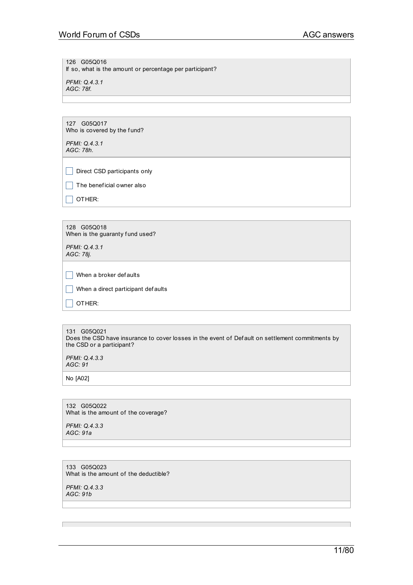126 G05Q016

If so, what is the amount or percentage per participant?

*PFMI: Q.4.3.1 AGC: 78f.*

127 G05Q017 Who is covered by the fund?

*PFMI: Q.4.3.1 AGC: 78h.*

 $\Box$  Direct CSD participants only

 $\Box$  The beneficial owner also

 $\Box$  OTHER:

128 G05Q018 When is the guaranty fund used?

*PFMI: Q.4.3.1 AGC: 78j.*

 $\Box$  When a broker def aults

 $\Box$  When a direct participant def aults

 $\Box$  OTHER:

131 G05Q021 Does the CSD have insurance to cover losses in the event of Def ault on settlement commitments by the CSD or a participant?

*PFMI: Q.4.3.3 AGC: 91*

No [A02]

132 G05Q022 What is the amount of the coverage?

*PFMI: Q.4.3.3 AGC: 91a*

133 G05Q023 What is the amount of the deductible?

*PFMI: Q.4.3.3 AGC: 91b*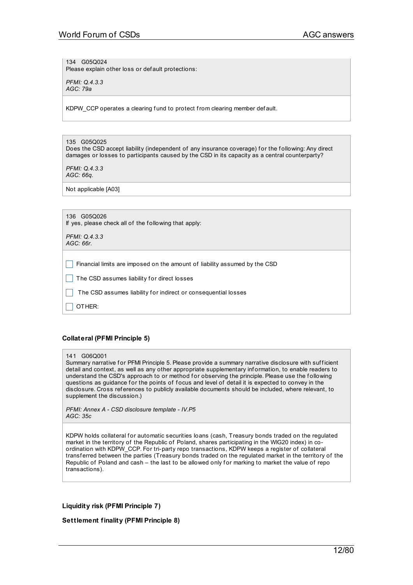134 G05Q024 Please explain other loss or def ault protections:

*PFMI: Q.4.3.3 AGC: 79a*

KDPW CCP operates a clearing f und to protect from clearing member def ault.

# 135 G05Q025

Does the CSD accept liability (independent of any insurance coverage) for the following: Any direct damages or losses to participants caused by the CSD in its capacity as a central counterparty?

*PFMI: Q.4.3.3 AGC: 66q.*

Not applicable [A03]

|          | 136 G05Q026<br>If yes, please check all of the following that apply:       |
|----------|----------------------------------------------------------------------------|
| AGC:66r. | PFMI: Q.4.3.3                                                              |
|          | Financial limits are imposed on the amount of liability assumed by the CSD |
|          | The CSD assumes liability for direct losses                                |
|          | The CSD assumes liability for indirect or consequential losses             |
|          | OTHER:                                                                     |

# **Collateral (PFMI Principle 5)**

#### 141 G06Q001

Summary narrative for PFMI Principle 5. Please provide a summary narrative disclosure with sufficient detail and context, as well as any other appropriate supplementary inf ormation, to enable readers to understand the CSD's approach to or method for observing the principle. Please use the following questions as guidance for the points of focus and level of detail it is expected to convey in the disclosure. Cross ref erences to publicly available documents should be included, where relevant, to supplement the discussion.)

*PFMI: Annex A - CSD disclosure template - IV.P5 AGC: 35c*

KDPW holds collateral for automatic securities loans (cash, Treasury bonds traded on the regulated market in the territory of the Republic of Poland, shares participating in the WIG20 index) in coordination with KDPW\_CCP. For tri-party repo transactions, KDPW keeps a register of collateral transf erred between the parties (Treasury bonds traded on the regulated market in the territory of the Republic of Poland and cash – the last to be allowed only for marking to market the value of repo transactions).

# **Liquidity risk (PFMI Principle 7)**

**Settlement finality (PFMI Principle 8)**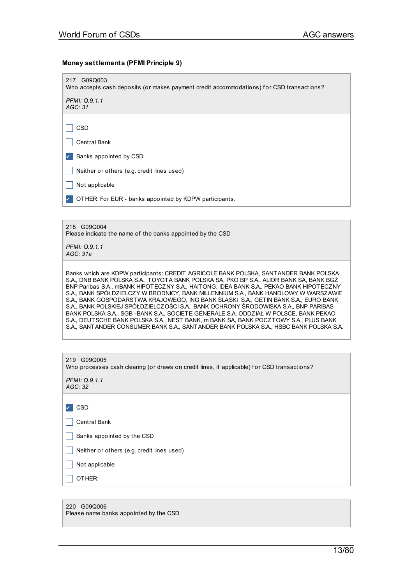# **Money settlements (PFMI Principle 9)**

| 217 G09Q003<br>Who accepts cash deposits (or makes payment credit accommodations) for CSD transactions?                                                                                                                                                                                                                                                                                                                                                                                                                                                                                                                                                                                                                                                                                                                      |
|------------------------------------------------------------------------------------------------------------------------------------------------------------------------------------------------------------------------------------------------------------------------------------------------------------------------------------------------------------------------------------------------------------------------------------------------------------------------------------------------------------------------------------------------------------------------------------------------------------------------------------------------------------------------------------------------------------------------------------------------------------------------------------------------------------------------------|
| PFMI: Q.9.1.1<br>AGC: 31                                                                                                                                                                                                                                                                                                                                                                                                                                                                                                                                                                                                                                                                                                                                                                                                     |
|                                                                                                                                                                                                                                                                                                                                                                                                                                                                                                                                                                                                                                                                                                                                                                                                                              |
| CSD                                                                                                                                                                                                                                                                                                                                                                                                                                                                                                                                                                                                                                                                                                                                                                                                                          |
| <b>Central Bank</b>                                                                                                                                                                                                                                                                                                                                                                                                                                                                                                                                                                                                                                                                                                                                                                                                          |
| Banks appointed by CSD                                                                                                                                                                                                                                                                                                                                                                                                                                                                                                                                                                                                                                                                                                                                                                                                       |
| Neither or others (e.g. credit lines used)                                                                                                                                                                                                                                                                                                                                                                                                                                                                                                                                                                                                                                                                                                                                                                                   |
| Not applicable                                                                                                                                                                                                                                                                                                                                                                                                                                                                                                                                                                                                                                                                                                                                                                                                               |
| OTHER: For EUR - banks appointed by KDPW participants.                                                                                                                                                                                                                                                                                                                                                                                                                                                                                                                                                                                                                                                                                                                                                                       |
|                                                                                                                                                                                                                                                                                                                                                                                                                                                                                                                                                                                                                                                                                                                                                                                                                              |
| 218 G09Q004<br>Please indicate the name of the banks appointed by the CSD                                                                                                                                                                                                                                                                                                                                                                                                                                                                                                                                                                                                                                                                                                                                                    |
| PFMI: Q.9.1.1<br>AGC: 31a                                                                                                                                                                                                                                                                                                                                                                                                                                                                                                                                                                                                                                                                                                                                                                                                    |
| Banks which are KDPW participants: CREDIT AGRICOLE BANK POLSKA, SANT ANDER BANK POLSKA<br>S.A., DNB BANK POLSKA S.A., TOYOTA BANK POLSKA SA, PKO BP S.A., ALIOR BANK SA, BANK BGŻ<br>BNP Paribas S.A., mBANK HIPOTECZNY S.A., HAITONG, IDEA BANK S.A., PEKAO BANK HIPOTECZNY<br>S.A., BANK SPÓŁDZ IELCZY W BRODNICY, BANK MILLENNIUM S.A., BANK HANDLOWY W WARSZAWIE<br>S.A., BANK GOSPODARSTWA KRAJOWEGO, ING BANK ŚLĄSKI S.A., GETIN BANK S.A., EURO BANK<br>S.A., BANK POLSKIEJ SPÓŁDZIELCZOŚCI S.A., BANK OCHRONY ŚRODOWISKA S.A., BNP PARIBAS<br>BANK POLSKA S.A., SGB - BANK S.A., SOCIETE GENERALE S.A. ODDZIAŁ W POLSCE, BANK PEKAO<br>S.A., DEUTSCHE BANK POLSKA S.A., NEST BANK, m BANK SA, BANK POCZTOWY S.A., PLUS BANK<br>S.A., SANTANDER CONSUMER BANK S.A., SANTANDER BANK POLSKA S.A., HSBC BANK POLSKA S.A. |
|                                                                                                                                                                                                                                                                                                                                                                                                                                                                                                                                                                                                                                                                                                                                                                                                                              |
| 219 G09Q005<br>Who processes cash clearing (or draws on credit lines, if applicable) for CSD transactions?                                                                                                                                                                                                                                                                                                                                                                                                                                                                                                                                                                                                                                                                                                                   |
| PFMI: Q.9.1.1<br>AGC: 32                                                                                                                                                                                                                                                                                                                                                                                                                                                                                                                                                                                                                                                                                                                                                                                                     |
| <b>CSD</b>                                                                                                                                                                                                                                                                                                                                                                                                                                                                                                                                                                                                                                                                                                                                                                                                                   |
| <b>Central Bank</b>                                                                                                                                                                                                                                                                                                                                                                                                                                                                                                                                                                                                                                                                                                                                                                                                          |
| Banks appointed by the CSD                                                                                                                                                                                                                                                                                                                                                                                                                                                                                                                                                                                                                                                                                                                                                                                                   |
| Neither or others (e.g. credit lines used)                                                                                                                                                                                                                                                                                                                                                                                                                                                                                                                                                                                                                                                                                                                                                                                   |

 $\Box$  Not applicable

 $\Box$  OTHER:

220 G09Q006 Please name banks appointed by the CSD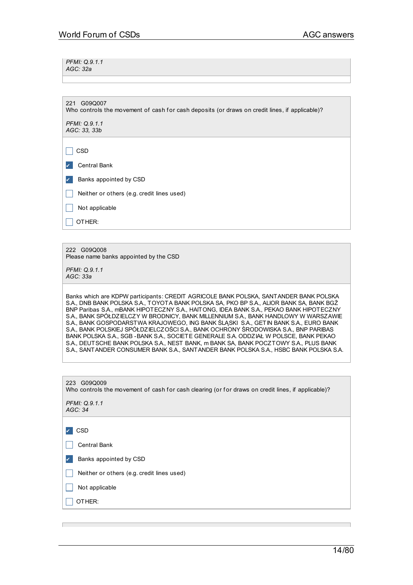*PFMI: Q.9.1.1 AGC: 32a*

221 G09Q007 Who controls the movement of cash for cash deposits (or draws on credit lines, if applicable)?

*PFMI: Q.9.1.1 AGC: 33, 33b*

 $\Box$  CSD ✔ Central Bank

**Z** Banks appointed by CSD

 $\Box$  Neither or others (e.g. credit lines used)

 $\Box$  Not applicable

 $\Box$  OTHER:

222 G09Q008 Please name banks appointed by the CSD

*PFMI: Q.9.1.1 AGC: 33a*

Banks which are KDPW participants: CREDIT AGRICOLE BANK POLSKA, SANTANDER BANK POLSKA S.A., DNB BANK POLSKA S.A., TOYOTA BANK POLSKA SA, PKO BP S.A., ALIOR BANK SA, BANK BGŻ BNP Paribas S.A., mBANK HIPOTECZNY S.A., HAITONG, IDEA BANK S.A., PEKAO BANK HIPOTECZNY S.A., BANK SPÓŁDZIELCZY W BRODNICY, BANK MILLENNIUM S.A., BANK HANDLOWY W WARSZAWIE S.A., BANK GOSPODARSTWA KRAJOWEGO, ING BANK ŚLĄSKI S.A., GETIN BANK S.A., EURO BANK S.A., BANK POLSKIEJ SPÓŁDZIELCZOŚCI S.A., BANK OCHRONY ŚRODOWISKA S.A., BNP PARIBAS BANK POLSKA S.A., SGB -BANK S.A., SOCIETE GENERALE S.A. ODDZIAŁ W POLSCE, BANK PEKAO S.A., DEUTSCHE BANK POLSKA S.A., NEST BANK, m BANK SA, BANK POCZTOWY S.A., PLUS BANK S.A., SANTANDER CONSUMER BANK S.A., SANTANDER BANK POLSKA S.A., HSBC BANK POLSKA S.A.

| 223 G09Q009<br>Who controls the movement of cash for cash clearing (or for draws on credit lines, if applicable)? |  |  |
|-------------------------------------------------------------------------------------------------------------------|--|--|
| PFMI: Q.9.1.1<br>AGC: 34                                                                                          |  |  |
|                                                                                                                   |  |  |
| CSD                                                                                                               |  |  |
| Central Bank                                                                                                      |  |  |
| Banks appointed by CSD                                                                                            |  |  |
| Neither or others (e.g. credit lines used)                                                                        |  |  |
| Not applicable                                                                                                    |  |  |
| OTHER:                                                                                                            |  |  |
|                                                                                                                   |  |  |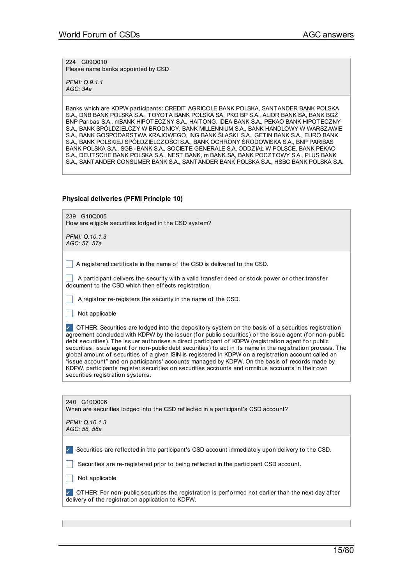224 G09Q010 Please name banks appointed by CSD

*PFMI: Q.9.1.1 AGC: 34a*

Banks which are KDPW participants: CREDIT AGRICOLE BANK POLSKA, SANTANDER BANK POLSKA S.A., DNB BANK POLSKA S.A., TOYOTA BANK POLSKA SA, PKO BP S.A., ALIOR BANK SA, BANK BGŻ BNP Paribas S.A., mBANK HIPOTECZNY S.A., HAITONG, IDEA BANK S.A., PEKAO BANK HIPOTECZNY S.A., BANK SPÓŁDZIELCZY W BRODNICY, BANK MILLENNIUM S.A., BANK HANDLOWY W WARSZAWIE S.A., BANK GOSPODARSTWA KRAJOWEGO, ING BANK ŚLĄSKI S.A., GETIN BANK S.A., EURO BANK S.A., BANK POLSKIEJ SPÓŁDZIELCZOŚCI S.A., BANK OCHRONY ŚRODOWISKA S.A., BNP PARIBAS BANK POLSKA S.A., SGB -BANK S.A., SOCIETE GENERALE S.A. ODDZIAŁ W POLSCE, BANK PEKAO S.A., DEUTSCHE BANK POLSKA S.A., NEST BANK, m BANK SA, BANK POCZTOWY S.A., PLUS BANK S.A., SANTANDER CONSUMER BANK S.A., SANTANDER BANK POLSKA S.A., HSBC BANK POLSKA S.A.

# **Physical deliveries (PFMI Principle 10)**

| 239 G10Q005<br>How are eligible securities lodged in the CSD system?                                                                                                                                                                                                                                                                                                                                                                                                                                                                                                                                                                                                                                                                                                                |
|-------------------------------------------------------------------------------------------------------------------------------------------------------------------------------------------------------------------------------------------------------------------------------------------------------------------------------------------------------------------------------------------------------------------------------------------------------------------------------------------------------------------------------------------------------------------------------------------------------------------------------------------------------------------------------------------------------------------------------------------------------------------------------------|
| PFMI: Q.10.1.3<br>AGC: 57, 57a                                                                                                                                                                                                                                                                                                                                                                                                                                                                                                                                                                                                                                                                                                                                                      |
|                                                                                                                                                                                                                                                                                                                                                                                                                                                                                                                                                                                                                                                                                                                                                                                     |
| A registered certificate in the name of the CSD is delivered to the CSD.                                                                                                                                                                                                                                                                                                                                                                                                                                                                                                                                                                                                                                                                                                            |
| A participant delivers the security with a valid transfer deed or stock power or other transfer<br>document to the CSD which then effects registration.                                                                                                                                                                                                                                                                                                                                                                                                                                                                                                                                                                                                                             |
| A registrar re-registers the security in the name of the CSD.                                                                                                                                                                                                                                                                                                                                                                                                                                                                                                                                                                                                                                                                                                                       |
| Not applicable                                                                                                                                                                                                                                                                                                                                                                                                                                                                                                                                                                                                                                                                                                                                                                      |
| OTHER: Securities are lodged into the depository system on the basis of a securities registration<br>agreement concluded with KDPW by the issuer (for public securities) or the issue agent (for non-public<br>debt securities). The issuer authorises a direct participant of KDPW (registration agent for public<br>securities, issue agent for non-public debt securities) to act in its name in the registration process. The<br>global amount of securities of a given ISIN is registered in KDPW on a registration account called an<br>"issue account" and on participants' accounts managed by KDPW. On the basis of records made by<br>KDPW, participants register securities on securities accounts and omnibus accounts in their own<br>securities registration systems. |
|                                                                                                                                                                                                                                                                                                                                                                                                                                                                                                                                                                                                                                                                                                                                                                                     |
| 240 G10Q006<br>When are securities lodged into the CSD reflected in a participant's CSD account?                                                                                                                                                                                                                                                                                                                                                                                                                                                                                                                                                                                                                                                                                    |
| PFMI: Q.10.1.3<br>AGC: 58, 58a                                                                                                                                                                                                                                                                                                                                                                                                                                                                                                                                                                                                                                                                                                                                                      |
| Securities are reflected in the participant's CSD account immediately upon delivery to the CSD.<br>Securities are re-registered prior to being reflected in the participant CSD account.                                                                                                                                                                                                                                                                                                                                                                                                                                                                                                                                                                                            |

 $\Box$  Not applicable

✔ OTHER: For non-public securities the registration is perf ormed not earlier than the next day af ter delivery of the registration application to KDPW.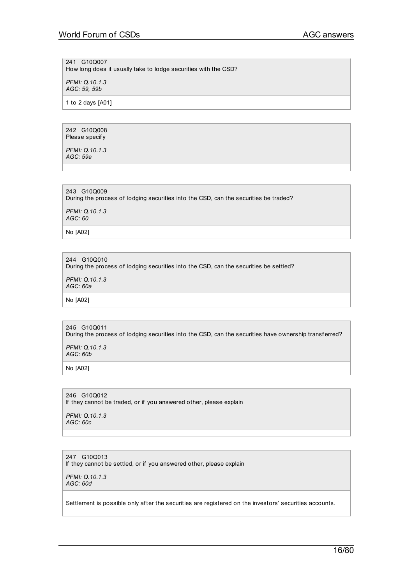241 G10Q007

How long does it usually take to lodge securities with the CSD?

*PFMI: Q.10.1.3 AGC: 59, 59b*

1 to 2 days [A01]

242 G10Q008 Please specif y

*PFMI: Q.10.1.3 AGC: 59a*

243 G10Q009

During the process of lodging securities into the CSD, can the securities be traded?

*PFMI: Q.10.1.3 AGC: 60*

No [A02]

244 G10Q010

During the process of lodging securities into the CSD, can the securities be settled?

*PFMI: Q.10.1.3 AGC: 60a*

No [A02]

245 G10Q011 During the process of lodging securities into the CSD, can the securities have ownership transferred?

*PFMI: Q.10.1.3 AGC: 60b*

No [A02]

246 G10Q012 If they cannot be traded, or if you answered other, please explain *PFMI: Q.10.1.3 AGC: 60c*

247 G10Q013 If they cannot be settled, or if you answered other, please explain

*PFMI: Q.10.1.3 AGC: 60d*

Settlement is possible only after the securities are registered on the investors' securities accounts.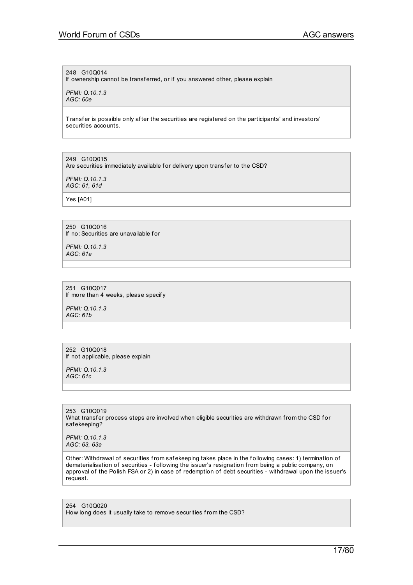### 248 G10Q014

If ownership cannot be transferred, or if you answered other, please explain

*PFMI: Q.10.1.3 AGC: 60e*

Transfer is possible only after the securities are registered on the participants' and investors' securities accounts.

249 G10Q015 Are securities immediately available for delivery upon transfer to the CSD?

*PFMI: Q.10.1.3 AGC: 61, 61d*

Yes [A01]

250 G10Q016 If no: Securities are unavailable for

*PFMI: Q.10.1.3 AGC: 61a*

251 G10Q017 If more than 4 weeks, please specify

*PFMI: Q.10.1.3 AGC: 61b*

252 G10Q018 If not applicable, please explain

*PFMI: Q.10.1.3 AGC: 61c*

253 G10Q019 What transfer process steps are involved when eligible securities are withdrawn from the CSD for saf ekeeping?

*PFMI: Q.10.1.3 AGC: 63, 63a*

Other: Withdrawal of securities from safekeeping takes place in the following cases: 1) termination of dematerialisation of securities - f ollowing the issuer's resignation from being a public company, on approval of the Polish FSA or 2) in case of redemption of debt securities - withdrawal upon the issuer's request.

254 G10Q020 How long does it usually take to remove securities from the CSD?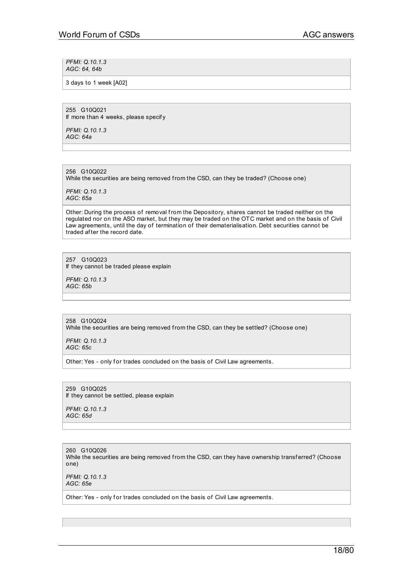*PFMI: Q.10.1.3 AGC: 64, 64b*

3 days to 1 week [A02]

255 G10Q021 If more than 4 weeks, please specif y

*PFMI: Q.10.1.3 AGC: 64a*

256 G10Q022 While the securities are being removed from the CSD, can they be traded? (Choose one)

*PFMI: Q.10.1.3 AGC: 65a*

Other: During the process of removal from the Depository, shares cannot be traded neither on the regulated nor on the ASO market, but they may be traded on the OTC market and on the basis of Civil Law agreements, until the day of termination of their dematerialisation. Debt securities cannot be traded af ter the record date.

257 G10Q023 If they cannot be traded please explain

*PFMI: Q.10.1.3 AGC: 65b*

258 G10Q024 While the securities are being removed from the CSD, can they be settled? (Choose one)

*PFMI: Q.10.1.3 AGC: 65c*

Other: Yes - only for trades concluded on the basis of Civil Law agreements.

259 G10Q025 If they cannot be settled, please explain

*PFMI: Q.10.1.3 AGC: 65d*

260 G10Q026 While the securities are being removed from the CSD, can they have ownership transferred? (Choose one) *PFMI: Q.10.1.3*

*AGC: 65e*

Other: Yes - only for trades concluded on the basis of Civil Law agreements.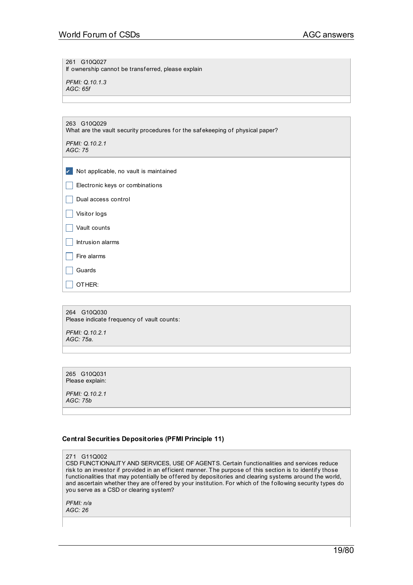261 G10Q027

If ownership cannot be transferred, please explain

*PFMI: Q.10.1.3 AGC: 65f*

| 263 G10Q029<br>What are the vault security procedures for the safekeeping of physical paper? |  |
|----------------------------------------------------------------------------------------------|--|
| PFMI: Q.10.2.1<br>AGC: 75                                                                    |  |
|                                                                                              |  |
| Not applicable, no vault is maintained<br>$\checkmark$                                       |  |
| Electronic keys or combinations                                                              |  |
| Dual access control                                                                          |  |
| Visitor logs                                                                                 |  |
| Vault counts                                                                                 |  |
| Intrusion alarms                                                                             |  |
| Fire alarms                                                                                  |  |
| Guards                                                                                       |  |
| OTHER:                                                                                       |  |
|                                                                                              |  |
| 264<br>G10Q030                                                                               |  |

Please indicate frequency of vault counts:

*PFMI: Q.10.2.1 AGC: 75a.*

265 G10Q031 Please explain:

*PFMI: Q.10.2.1 AGC: 75b*

# **Central Securities Depositories (PFMI Principle 11)**

271 G11Q002

CSD FUNCTIONALITY AND SERVICES, USE OF AGENTS. Certain functionalities and services reduce risk to an investor if provided in an efficient manner. The purpose of this section is to identify those functionalities that may potentially be offered by depositories and clearing systems around the world, and ascertain whether they are offered by your institution. For which of the following security types do you serve as a CSD or clearing system?

*PFMI: n/a AGC: 26*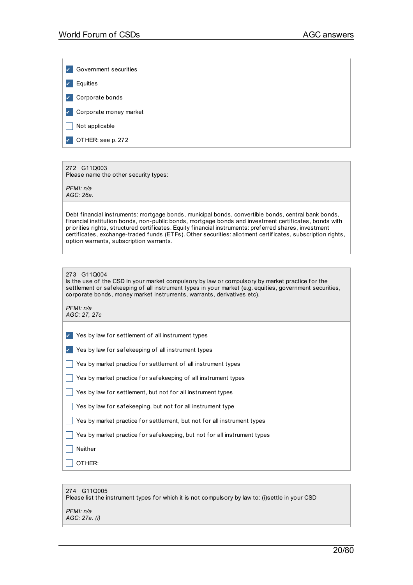| Government securities                       |
|---------------------------------------------|
| $\vert$ Equities                            |
| Corporate bonds<br>$\checkmark$             |
| $\sqrt{\phantom{a}}$ Corporate money market |
| $\vert$ Not applicable                      |
| OTHER: see p. 272                           |

# 272 G11Q003

Please name the other security types:

*PFMI: n/a AGC: 26a.*

Debt financial instruments: mortgage bonds, municipal bonds, convertible bonds, central bank bonds, f inancial institution bonds, non-public bonds, mortgage bonds and investment certif icates, bonds with priorities rights, structured certificates. Equity financial instruments: preferred shares, investment certificates, exchange-traded funds (ETFs). Other securities: allotment certificates, subscription rights, option warrants, subscription warrants.

| 273 G11Q004 |
|-------------|
|             |

Is the use of the CSD in your market compulsory by law or compulsory by market practice for the settlement or safekeeping of all instrument types in your market (e.g. equities, government securities, corporate bonds, money market instruments, warrants, derivatives etc).

*PFMI: n/a AGC: 27, 27c*

 $\vee$  Yes by law for settlement of all instrument types

 $\vee$  Yes by law for safekeeping of all instrument types

 $\Box$  Yes by market practice for settlement of all instrument types

 $\Box$  Yes by market practice for safekeeping of all instrument types

 $\Box$  Yes by law for settlement, but not for all instrument types

 $\Box$  Yes by law for safekeeping, but not for all instrument type

 $\Box$  Yes by market practice for settlement, but not for all instrument types

 $\Box$  Yes by market practice for safekeeping, but not for all instrument types

 $\Box$  Neither

 $\Box$  Other:

| 274 G11Q005<br>Please list the instrument types for which it is not compulsory by law to: (i)settle in your CSD |
|-----------------------------------------------------------------------------------------------------------------|
| PFMI: n/a<br>AGC: 27a. (i)                                                                                      |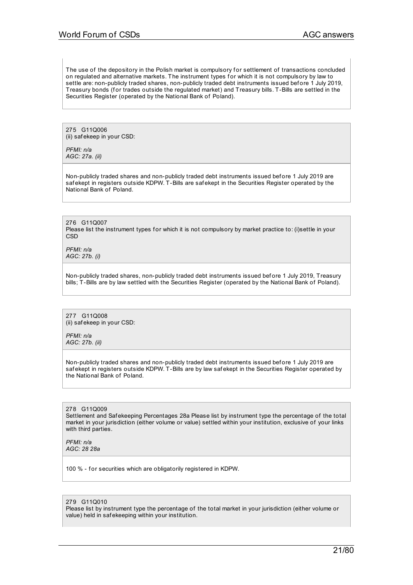The use of the depository in the Polish market is compulsory for settlement of transactions concluded on regulated and alternative markets. The instrument types for which it is not compulsory by law to settle are: non-publicly traded shares, non-publicly traded debt instruments issued bef ore 1 July 2019, Treasury bonds (for trades outside the regulated market) and Treasury bills. T-Bills are settled in the Securities Register (operated by the National Bank of Poland).

275 G11Q006 (ii) saf ekeep in your CSD:

*PFMI: n/a AGC: 27a. (ii)*

Non-publicly traded shares and non-publicly traded debt instruments issued bef ore 1 July 2019 are saf ekept in registers outside KDPW. T-Bills are saf ekept in the Securities Register operated by the National Bank of Poland.

276 G11Q007 Please list the instrument types for which it is not compulsory by market practice to: (i)settle in your **CSD** 

*PFMI: n/a AGC: 27b. (i)*

Non-publicly traded shares, non-publicly traded debt instruments issued bef ore 1 July 2019, Treasury bills; T-Bills are by law settled with the Securities Register (operated by the National Bank of Poland).

277 G11Q008 (ii) saf ekeep in your CSD:

*PFMI: n/a AGC: 27b. (ii)*

Non-publicly traded shares and non-publicly traded debt instruments issued bef ore 1 July 2019 are saf ekept in registers outside KDPW. T-Bills are by law saf ekept in the Securities Register operated by the National Bank of Poland.

278 G11Q009 Settlement and Safekeeping Percentages 28a Please list by instrument type the percentage of the total market in your jurisdiction (either volume or value) settled within your institution, exclusive of your links with third parties.

*PFMI: n/a AGC: 28 28a*

100 % - for securities which are obligatorily registered in KDPW.

#### 279 G11Q010

Please list by instrument type the percentage of the total market in your jurisdiction (either volume or value) held in saf ekeeping within your institution.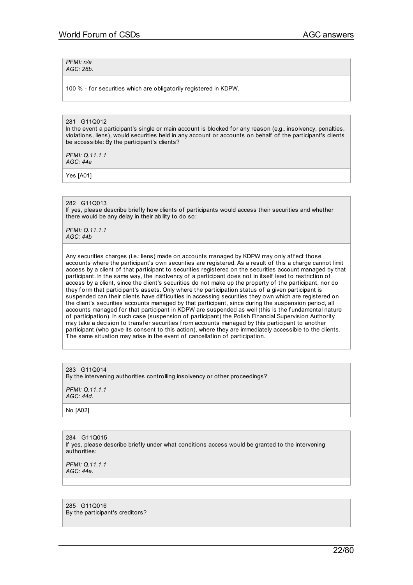#### *PFMI: n/a AGC: 28b.*

100 % - for securities which are obligatorily registered in KDPW.

#### 281 G11Q012

In the event a participant's single or main account is blocked for any reason (e.g., insolvency, penalties, violations, liens), would securities held in any account or accounts on behalf of the participant's clients be accessible: By the participant's clients?

*PFMI: Q.11.1.1 AGC: 44a*

Yes [A01]

#### 282 G11Q013

If yes, please describe brief ly how clients of participants would access their securities and whether there would be any delay in their ability to do so:

*PFMI: Q.11.1.1 AGC: 44b*

Any securities charges (i.e.: liens) made on accounts managed by KDPW may only affect those accounts where the participant's own securities are registered. As a result of this a charge cannot limit access by a client of that participant to securities registered on the securities account managed by that participant. In the same way, the insolvency of a participant does not in itself lead to restriction of access by a client, since the client's securities do not make up the property of the participant, nor do they form that participant's assets. Only where the participation status of a given participant is suspended can their clients have difficulties in accessing securities they own which are registered on the client's securities accounts managed by that participant, since during the suspension period, all accounts managed for that participant in KDPW are suspended as well (this is the fundamental nature of participation). In such case (suspension of participant) the Polish Financial Supervision Authority may take a decision to transfer securities from accounts managed by this participant to another participant (who gave its consent to this action), where they are immediately accessible to the clients. The same situation may arise in the event of cancellation of participation.

# 283 G11Q014

By the intervening authorities controlling insolvency or other proceedings?

*PFMI: Q.11.1.1 AGC: 44d.*

No [A02]

284 G11Q015 If yes, please describe briefly under what conditions access would be granted to the intervening authorities:

*PFMI: Q.11.1.1 AGC: 44e.*

285 G11Q016 By the participant's creditors?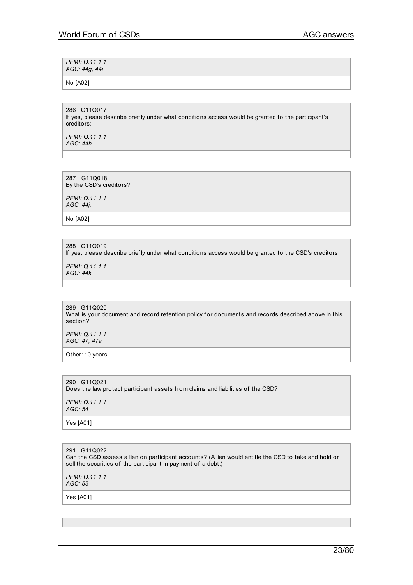| PFMI: Q.11.1.1<br>AGC: 44g, 44i |  |
|---------------------------------|--|
| No [A02]                        |  |

286 G11Q017 If yes, please describe briefly under what conditions access would be granted to the participant's creditors:

*PFMI: Q.11.1.1 AGC: 44h*

287 G11Q018 By the CSD's creditors?

*PFMI: Q.11.1.1 AGC: 44j.*

No [A02]

288 G11Q019 If yes, please describe briefly under what conditions access would be granted to the CSD's creditors:

*PFMI: Q.11.1.1 AGC: 44k.*

289 G11Q020 What is your document and record retention policy for documents and records described above in this section?

*PFMI: Q.11.1.1 AGC: 47, 47a*

Other: 10 years

290 G11Q021 Does the law protect participant assets from claims and liabilities of the CSD? *PFMI: Q.11.1.1 AGC: 54* Yes [A01]

291 G11Q022 Can the CSD assess a lien on participant accounts? (A lien would entitle the CSD to take and hold or sell the securities of the participant in payment of a debt.)

*PFMI: Q.11.1.1 AGC: 55*

Yes [A01]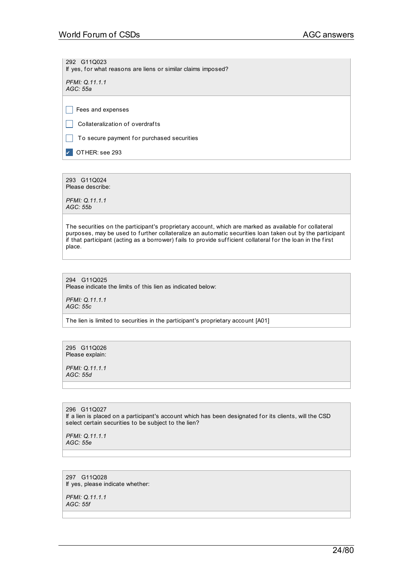292 G11Q023 If yes, for what reasons are liens or similar claims imposed?

*PFMI: Q.11.1.1 AGC: 55a*

 $\Box$  Fees and expenses

 $\Box$  Collateralization of overdrafts

 $\vert \ \vert$  To secure payment for purchased securities

**DER:** see 293

293 G11Q024 Please describe:

*PFMI: Q.11.1.1 AGC: 55b*

The securities on the participant's proprietary account, which are marked as available for collateral purposes, may be used to further collateralize an automatic securities loan taken out by the participant if that participant (acting as a borrower) fails to provide sufficient collateral for the loan in the first place.

294 G11Q025 Please indicate the limits of this lien as indicated below:

*PFMI: Q.11.1.1 AGC: 55c*

The lien is limited to securities in the participant's proprietary account [A01]

295 G11Q026 Please explain:

*PFMI: Q.11.1.1 AGC: 55d*

296 G11Q027 If a lien is placed on a participant's account which has been designated for its clients, will the CSD select certain securities to be subject to the lien?

*PFMI: Q.11.1.1 AGC: 55e*

297 G11Q028 If yes, please indicate whether:

*PFMI: Q.11.1.1 AGC: 55f*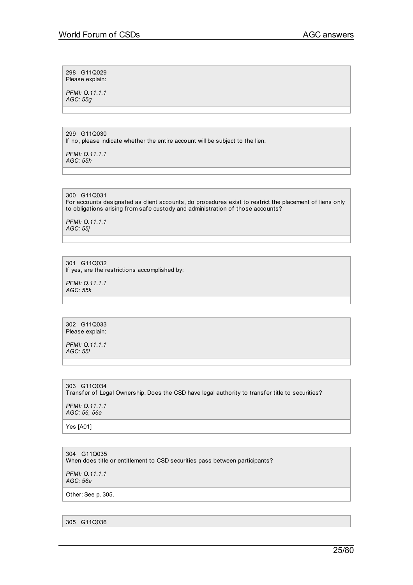298 G11Q029 Please explain:

*PFMI: Q.11.1.1 AGC: 55g*

299 G11Q030 If no, please indicate whether the entire account will be subject to the lien.

*PFMI: Q.11.1.1 AGC: 55h*

300 G11Q031 For accounts designated as client accounts, do procedures exist to restrict the placement of liens only to obligations arising from safe custody and administration of those accounts?

*PFMI: Q.11.1.1 AGC: 55j*

301 G11Q032 If yes, are the restrictions accomplished by:

*PFMI: Q.11.1.1 AGC: 55k*

302 G11Q033 Please explain:

*PFMI: Q.11.1.1 AGC: 55l*

303 G11Q034 Transfer of Legal Ownership. Does the CSD have legal authority to transfer title to securities?

*PFMI: Q.11.1.1 AGC: 56, 56e*

Yes [A01]

304 G11Q035 When does title or entitlement to CSD securities pass between participants?

*PFMI: Q.11.1.1 AGC: 56a*

Other: See p. 305.

305 G11Q036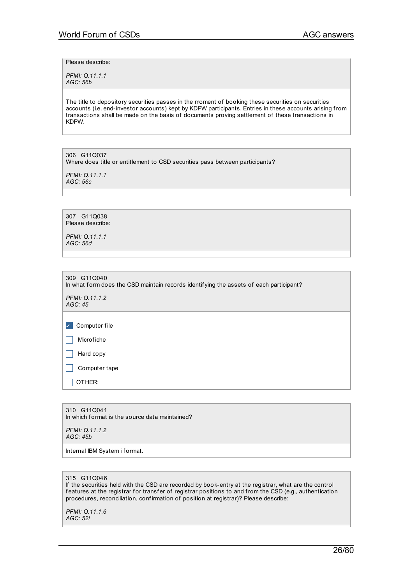Please describe:

*PFMI: Q.11.1.1 AGC: 56b*

The title to depository securities passes in the moment of booking these securities on securities accounts (i.e. end-investor accounts) kept by KDPW participants. Entries in these accounts arising from transactions shall be made on the basis of documents proving settlement of these transactions in KDPW.

306 G11Q037 Where does title or entitlement to CSD securities pass between participants?

*PFMI: Q.11.1.1 AGC: 56c*

307 G11Q038 Please describe:

*PFMI: Q.11.1.1 AGC: 56d*

| 309 G11Q040<br>In what form does the CSD maintain records identifying the assets of each participant? |
|-------------------------------------------------------------------------------------------------------|
| PFMI: Q.11.1.2<br>AGC: 45                                                                             |
|                                                                                                       |
| Computer file<br>$\checkmark$                                                                         |
| Microfiche                                                                                            |
| Hard copy                                                                                             |
| Computer tape                                                                                         |
| OTHER:                                                                                                |
|                                                                                                       |

310 G11Q041 In which format is the source data maintained?

*PFMI: Q.11.1.2 AGC: 45b*

Internal IBM System i format.

### 315 G11Q046

If the securities held with the CSD are recorded by book-entry at the registrar, what are the control features at the registrar for transfer of registrar positions to and from the CSD (e.g., authentication procedures, reconciliation, confirmation of position at registrar)? Please describe:

*PFMI: Q.11.1.6 AGC: 52i*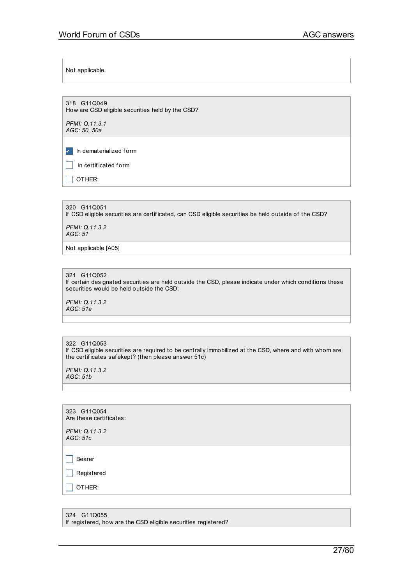Not applicable.

318 G11Q049 How are CSD eligible securities held by the CSD?

*PFMI: Q.11.3.1 AGC: 50, 50a*

✔ In dematerialized f orm

\_ In certif icated f orm

 $\Box$  OTHER:

320 G11Q051 If CSD eligible securities are certif icated, can CSD eligible securities be held outside of the CSD?

*PFMI: Q.11.3.2 AGC: 51*

Not applicable [A05]

321 G11Q052

If certain designated securities are held outside the CSD, please indicate under which conditions these securities would be held outside the CSD:

*PFMI: Q.11.3.2 AGC: 51a*

322 G11Q053

If CSD eligible securities are required to be centrally immobilized at the CSD, where and with whom are the certif icates saf ekept? (then please answer 51c)

*PFMI: Q.11.3.2 AGC: 51b*

| 323 G11Q054<br>Are these certificates: |  |
|----------------------------------------|--|
| PFMI: Q.11.3.2<br>AGC: 51c             |  |
|                                        |  |
| Bearer                                 |  |
| Registered                             |  |
| OTHER:                                 |  |
|                                        |  |

324 G11Q055 If registered, how are the CSD eligible securities registered?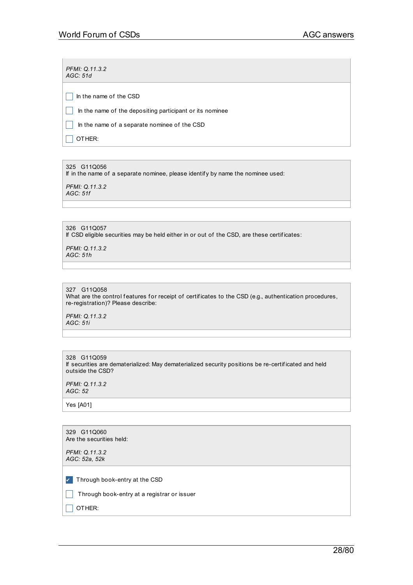*PFMI: Q.11.3.2 AGC: 51d*

 $\Box$  In the name of the CSD

 $\Box$  In the name of the depositing participant or its nominee

 $\Box$  In the name of a separate nominee of the CSD

 $\Box$  OTHER:

325 G11Q056 If in the name of a separate nominee, please identif y by name the nominee used:

*PFMI: Q.11.3.2 AGC: 51f*

326 G11Q057 If CSD eligible securities may be held either in or out of the CSD, are these certif icates:

*PFMI: Q.11.3.2 AGC: 51h*

| 327 G11Q058 |
|-------------|
|             |

What are the control features for receipt of certificates to the CSD (e.g., authentication procedures, re-registration)? Please describe:

*PFMI: Q.11.3.2 AGC: 51i*

328 G11Q059 If securities are dematerialized: May dematerialized security positions be re-certif icated and held outside the CSD?

*PFMI: Q.11.3.2 AGC: 52*

Yes [A01]

| 329 G11Q060<br>Are the securities held:                                                           |
|---------------------------------------------------------------------------------------------------|
| PFMI: Q.11.3.2<br>AGC: 52a, 52k                                                                   |
| $\sqrt{ }$ Through book-entry at the CSD<br>Through book-entry at a registrar or issuer<br>OTHER: |
|                                                                                                   |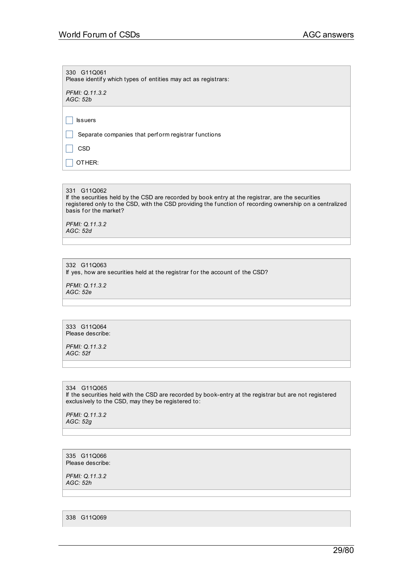330 G11Q061 Please identify which types of entities may act as registrars:

*PFMI: Q.11.3.2 AGC: 52b*

 $\Box$  Issuers

 $\Box$  Separate companies that perform registrar functions

 $\Box$  CSD

 $\Box$  OTHER:

331 G11Q062

If the securities held by the CSD are recorded by book entry at the registrar, are the securities registered only to the CSD, with the CSD providing the f unction of recording ownership on a centralized basis for the market?

*PFMI: Q.11.3.2 AGC: 52d*

332 G11Q063 If yes, how are securities held at the registrar for the account of the CSD?

*PFMI: Q.11.3.2*

*AGC: 52e*

333 G11Q064 Please describe:

*PFMI: Q.11.3.2 AGC: 52f*

334 G11Q065 If the securities held with the CSD are recorded by book-entry at the registrar but are not registered exclusively to the CSD, may they be registered to:

*PFMI: Q.11.3.2 AGC: 52g*

335 G11Q066 Please describe:

*PFMI: Q.11.3.2 AGC: 52h*

338 G11Q069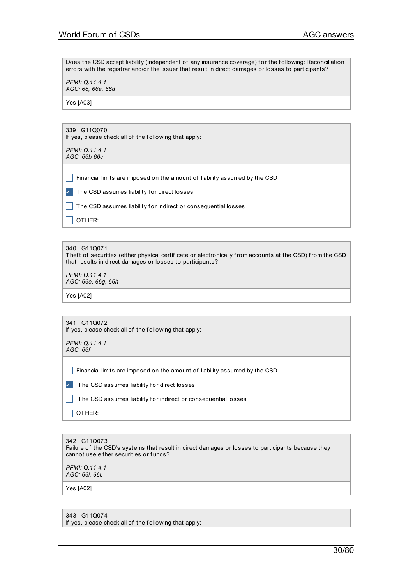Does the CSD accept liability (independent of any insurance coverage) for the following: Reconciliation errors with the registrar and/or the issuer that result in direct damages or losses to participants?

*PFMI: Q.11.4.1 AGC: 66, 66a, 66d*

Yes [A03]

339 G11Q070 If yes, please check all of the following that apply:

*PFMI: Q.11.4.1 AGC: 66b 66c*

 $\Box$  Financial limits are imposed on the amount of liability assumed by the CSD

 $\triangledown$  The CSD assumes liability for direct losses

 $\Box$  The CSD assumes liability for indirect or consequential losses

 $\Box$  OTHER:

340 G11Q071

Theft of securities (either physical certificate or electronically from accounts at the CSD) from the CSD that results in direct damages or losses to participants?

*PFMI: Q.11.4.1 AGC: 66e, 66g, 66h*

Yes [A02]

| 341 G11Q072 |  |                                                       |  |
|-------------|--|-------------------------------------------------------|--|
|             |  | If yes, please check all of the following that apply: |  |

*PFMI: Q.11.4.1 AGC: 66f*

 $\Box$  Financial limits are imposed on the amount of liability assumed by the CSD

 $\triangledown$  The CSD assumes liability for direct losses

 $\Box$  The CSD assumes liability for indirect or consequential losses

 $\Box$  Other:

342 G11Q073 Failure of the CSD's systems that result in direct damages or losses to participants because they cannot use either securities or funds? *PFMI: Q.11.4.1*

*AGC: 66i, 66l.*

Yes [A02]

343 G11Q074

If yes, please check all of the following that apply: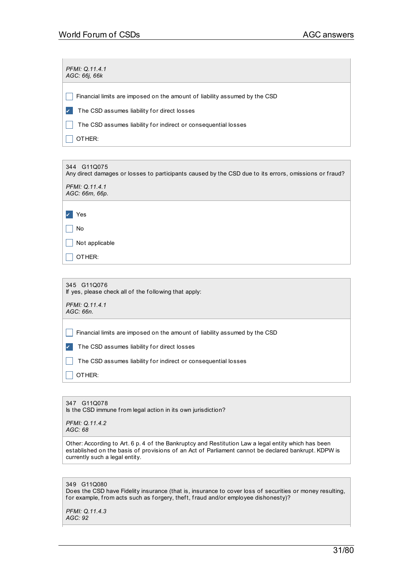| 344 G11Q075<br>Any direct damages or losses to participants caused by the CSD due to its errors, omissions or fraud? |
|----------------------------------------------------------------------------------------------------------------------|
| PFMI: Q.11.4.1<br>AGC: 66m, 66p.                                                                                     |
| Yes                                                                                                                  |
| No                                                                                                                   |
| Not applicable                                                                                                       |
| OTHER:                                                                                                               |

347 G11Q078 Is the CSD immune from legal action in its own jurisdiction?

*PFMI: Q.11.4.2 AGC: 68*

Other: According to Art. 6 p. 4 of the Bankruptcy and Restitution Law a legal entity which has been established on the basis of provisions of an Act of Parliament cannot be declared bankrupt. KDPW is currently such a legal entity.

# 349 G11Q080

Does the CSD have Fidelity insurance (that is, insurance to cover loss of securities or money resulting, for example, from acts such as forgery, theft, fraud and/or employee dishonesty)?

*PFMI: Q.11.4.3 AGC: 92*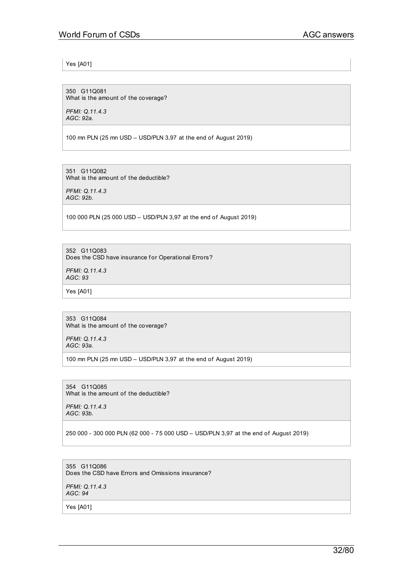Yes [A01]

350 G11Q081 What is the amount of the coverage?

*PFMI: Q.11.4.3 AGC: 92a.*

100 mn PLN (25 mn USD – USD/PLN 3,97 at the end of August 2019)

351 G11Q082 What is the amount of the deductible?

*PFMI: Q.11.4.3 AGC: 92b.*

100 000 PLN (25 000 USD – USD/PLN 3,97 at the end of August 2019)

352 G11Q083

Does the CSD have insurance for Operational Errors?

*PFMI: Q.11.4.3 AGC: 93*

Yes [A01]

353 G11Q084 What is the amount of the coverage?

*PFMI: Q.11.4.3 AGC: 93a.*

100 mn PLN (25 mn USD – USD/PLN 3,97 at the end of August 2019)

354 G11Q085 What is the amount of the deductible?

*PFMI: Q.11.4.3 AGC: 93b.*

250 000 - 300 000 PLN (62 000 - 75 000 USD – USD/PLN 3,97 at the end of August 2019)

355 G11Q086 Does the CSD have Errors and Omissions insurance?

*PFMI: Q.11.4.3 AGC: 94*

Yes [A01]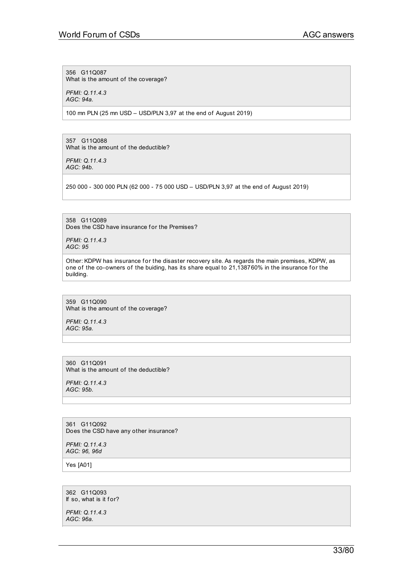356 G11Q087

What is the amount of the coverage?

*PFMI: Q.11.4.3 AGC: 94a.*

100 mn PLN (25 mn USD – USD/PLN 3,97 at the end of August 2019)

357 G11Q088 What is the amount of the deductible?

*PFMI: Q.11.4.3 AGC: 94b.*

250 000 - 300 000 PLN (62 000 - 75 000 USD – USD/PLN 3,97 at the end of August 2019)

358 G11Q089 Does the CSD have insurance for the Premises?

*PFMI: Q.11.4.3 AGC: 95*

Other: KDPW has insurance for the disaster recovery site. As regards the main premises, KDPW, as one of the co-owners of the buiding, has its share equal to 21,138760% in the insurance for the building.

359 G11Q090 What is the amount of the coverage?

*PFMI: Q.11.4.3 AGC: 95a.*

360 G11Q091 What is the amount of the deductible?

*PFMI: Q.11.4.3 AGC: 95b.*

361 G11Q092 Does the CSD have any other insurance?

*PFMI: Q.11.4.3 AGC: 96, 96d*

Yes [A01]

362 G11Q093 If so, what is it for?

*PFMI: Q.11.4.3 AGC: 96a.*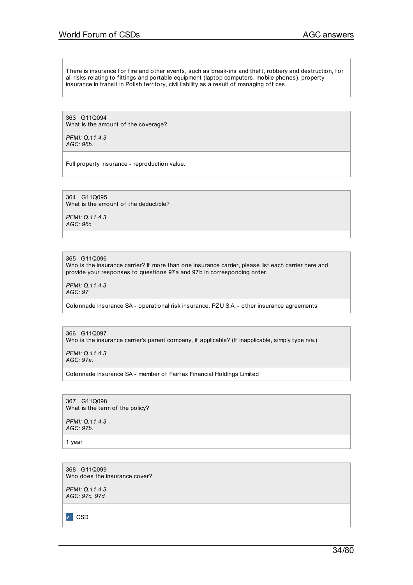There is insurance for fire and other events, such as break-ins and theft, robbery and destruction, for all risks relating to fittings and portable equipment (laptop computers, mobile phones), property insurance in transit in Polish territory, civil liability as a result of managing offices.

363 G11Q094 What is the amount of the coverage?

*PFMI: Q.11.4.3 AGC: 96b.*

Full property insurance - reproduction value.

364 G11Q095 What is the amount of the deductible?

*PFMI: Q.11.4.3 AGC: 96c.*

365 G11Q096 Who is the insurance carrier? If more than one insurance carrier, please list each carrier here and provide your responses to questions 97a and 97b in corresponding order.

*PFMI: Q.11.4.3 AGC: 97*

Colonnade Insurance SA - operational risk insurance, PZU S.A. - other insurance agreements

366 G11Q097 Who is the insurance carrier's parent company, if applicable? (If inapplicable, simply type n/a.)

*PFMI: Q.11.4.3 AGC: 97a.*

Colonnade Insurance SA - member of Fairf ax Financial Holdings Limited

367 G11Q098 What is the term of the policy?

*PFMI: Q.11.4.3 AGC: 97b.*

1 year

368 G11Q099 Who does the insurance cover?

*PFMI: Q.11.4.3 AGC: 97c, 97d*

✔ CSD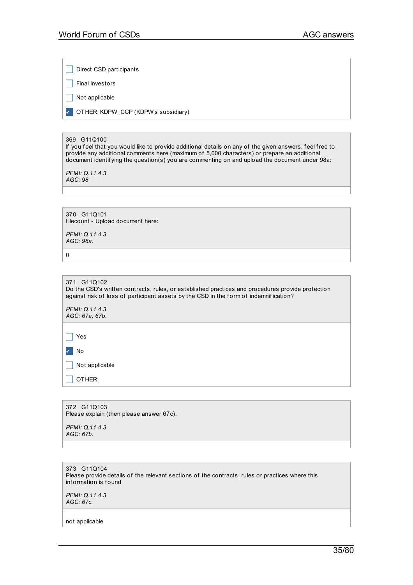Direct CSD participants

 $\Box$  Final investors

 $\Box$  Not applicable

✔ OTHER: KDPW\_CCP (KDPW's subsidiary)

# 369 G11Q100

If you feel that you would like to provide additional details on any of the given answers, feel free to provide any additional comments here (maximum of 5,000 characters) or prepare an additional document identif ying the question(s) you are commenting on and upload the document under 98a:

*PFMI: Q.11.4.3 AGC: 98*

370 G11Q101 filecount - Upload document here:

*PFMI: Q.11.4.3 AGC: 98a.*

0

| 371 G11Q102                                                                                       |  |
|---------------------------------------------------------------------------------------------------|--|
| Do the CSD's written contracts, rules, or established practices and procedures provide protection |  |
| against risk of loss of participant assets by the CSD in the form of indemnification?             |  |
| $\Gamma$ $\Gamma$ $\Lambda$ $\Lambda$ , $\Lambda$ , $\Lambda$ , $\Lambda$                         |  |

*PFMI: Q.11.4.3 AGC: 67a, 67b.*

 $\Box$  Yes ✔ No

 $\Box$  Not applicable

 $\Box$  OTHER:

372 G11Q103 Please explain (then please answer 67c):

*PFMI: Q.11.4.3 AGC: 67b.*

373 G11Q104 Please provide details of the relevant sections of the contracts, rules or practices where this inf ormation is f ound

*PFMI: Q.11.4.3 AGC: 67c.*

not applicable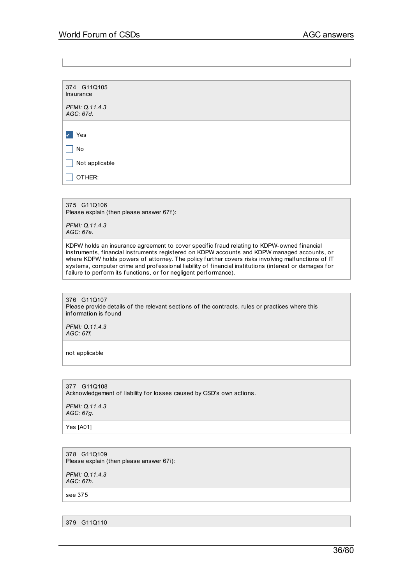374 G11Q105 Insurance *PFMI: Q.11.4.3 AGC: 67d.* ✔ Yes  $\Box$  No  $\Box$  Not applicable  $\vert$  OTHER:

375 G11Q106 Please explain (then please answer 67f):

*PFMI: Q.11.4.3 AGC: 67e.*

KDPW holds an insurance agreement to cover specific fraud relating to KDPW-owned financial instruments, f inancial instruments registered on KDPW accounts and KDPW managed accounts, or where KDPW holds powers of attorney. The policy further covers risks involving malfunctions of IT systems, computer crime and professional liability of financial institutions (interest or damages for failure to perform its functions, or for negligent performance).

376 G11Q107 Please provide details of the relevant sections of the contracts, rules or practices where this information is found

*PFMI: Q.11.4.3 AGC: 67f.*

not applicable

377 G11Q108 Acknowledgement of liability for losses caused by CSD's own actions.

*PFMI: Q.11.4.3 AGC: 67g.*

Yes [A01]

378 G11Q109 Please explain (then please answer 67i):

*PFMI: Q.11.4.3 AGC: 67h.*

see 375

379 G11Q110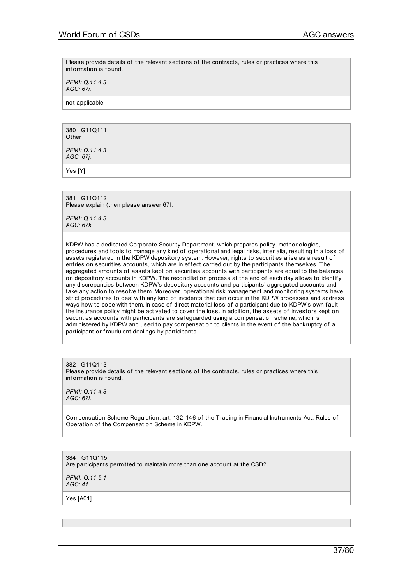Please provide details of the relevant sections of the contracts, rules or practices where this inf ormation is f ound.

*PFMI: Q.11.4.3 AGC: 67i.*

not applicable

380 G11Q111 **Other** 

*PFMI: Q.11.4.3 AGC: 67j.*

Yes [Y]

381 G11Q112 Please explain (then please answer 67l:

*PFMI: Q.11.4.3 AGC: 67k.*

KDPW has a dedicated Corporate Security Department, which prepares policy, methodologies, procedures and tools to manage any kind of operational and legal risks, inter alia, resulting in a loss of assets registered in the KDPW depository system. However, rights to securities arise as a result of entries on securities accounts, which are in effect carried out by the participants themselves. The aggregated amounts of assets kept on securities accounts with participants are equal to the balances on depository accounts in KDPW. The reconciliation process at the end of each day allows to identif y any discrepancies between KDPW's depositary accounts and participants' aggregated accounts and take any action to resolve them. Moreover, operational risk management and monitoring systems have strict procedures to deal with any kind of incidents that can occur in the KDPW processes and address ways how to cope with them. In case of direct material loss of a participant due to KDPW's own fault, the insurance policy might be activated to cover the loss. In addition, the assets of investors kept on securities accounts with participants are saf eguarded using a compensation scheme, which is administered by KDPW and used to pay compensation to clients in the event of the bankruptcy of a participant or fraudulent dealings by participants.

382 G11Q113 Please provide details of the relevant sections of the contracts, rules or practices where this information is found.

*PFMI: Q.11.4.3 AGC: 67l.*

Compensation Scheme Regulation, art. 132-146 of the Trading in Financial Instruments Act, Rules of Operation of the Compensation Scheme in KDPW.

384 G11Q115 Are participants permitted to maintain more than one account at the CSD?

*PFMI: Q.11.5.1 AGC: 41*

Yes [A01]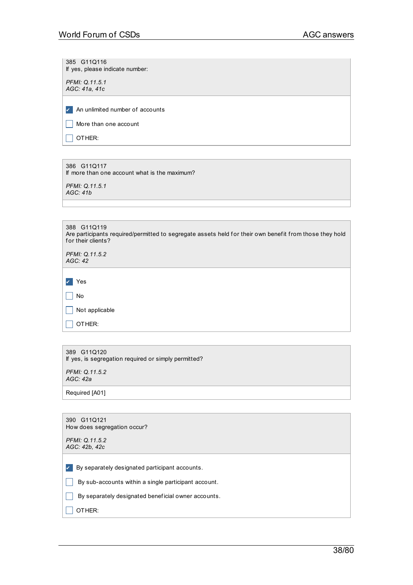385 G11Q116 If yes, please indicate number:

*PFMI: Q.11.5.1 AGC: 41a, 41c*

✔ An unlimited number of accounts

 $\Box$  More than one account

 $\Box$  OTHER:

386 G11Q117 If more than one account what is the maximum?

*PFMI: Q.11.5.1 AGC: 41b*

388 G11Q119 Are participants required/permitted to segregate assets held for their own benefit from those they hold for their clients?

*PFMI: Q.11.5.2 AGC: 42*

✔ Yes

 $\Box$  No  $\Box$  Not applicable

|  | 389 G11Q120 |                                                      |
|--|-------------|------------------------------------------------------|
|  |             | If yes, is segregation required or simply permitted? |

*PFMI: Q.11.5.2 AGC: 42a*

 $\Box$  OTHER:

Required [A01]

| 390 G11Q121<br>How does segregation occur?                     |
|----------------------------------------------------------------|
| PFMI: Q.11.5.2<br>AGC: 42b, 42c                                |
| By separately designated participant accounts.<br>$\checkmark$ |
| By sub-accounts within a single participant account.           |
| By separately designated beneficial owner accounts.            |
| OTHER:                                                         |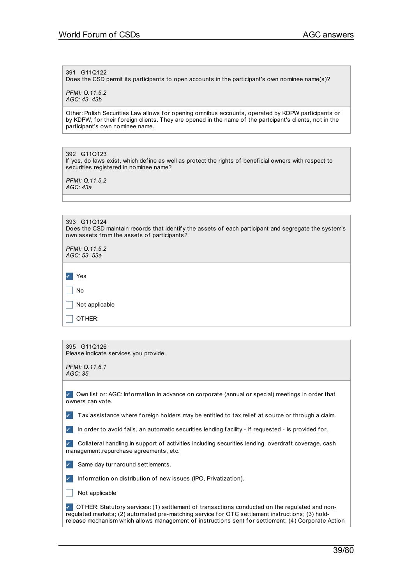# 391 G11Q122

Does the CSD permit its participants to open accounts in the participant's own nominee name(s)?

*PFMI: Q.11.5.2 AGC: 43, 43b*

Other: Polish Securities Law allows for opening omnibus accounts, operated by KDPW participants or by KDPW, for their foreign clients. They are opened in the name of the partcipant's clients, not in the participant's own nominee name.

392 G11Q123 If yes, do laws exist, which define as well as protect the rights of beneficial owners with respect to securities registered in nominee name?

*PFMI: Q.11.5.2 AGC: 43a*

| 393 G11Q124                                                                                           |  |
|-------------------------------------------------------------------------------------------------------|--|
| Does the CSD maintain records that identify the assets of each participant and segregate the system's |  |
| own assets from the assets of participants?                                                           |  |
|                                                                                                       |  |

| PFMI: Q.11.5.2<br>AGC: 53, 53a |
|--------------------------------|
| $\mathbf{v}$<br>Yes            |
| No                             |
| Not applicable                 |
| OTHER:                         |

| 395 G11Q126<br>Please indicate services you provide.                                                                                                                                                                                                                                                     |  |  |  |  |
|----------------------------------------------------------------------------------------------------------------------------------------------------------------------------------------------------------------------------------------------------------------------------------------------------------|--|--|--|--|
| PFMI: Q.11.6.1<br>AGC: 35                                                                                                                                                                                                                                                                                |  |  |  |  |
| Own list or: AGC: Information in advance on corporate (annual or special) meetings in order that<br>owners can vote.                                                                                                                                                                                     |  |  |  |  |
| Tax assistance where foreign holders may be entitled to tax relief at source or through a claim.                                                                                                                                                                                                         |  |  |  |  |
| In order to avoid fails, an automatic securities lending facility - if requested - is provided for.                                                                                                                                                                                                      |  |  |  |  |
| Collateral handling in support of activities including securities lending, overdraft coverage, cash<br>management, repurchase agreements, etc.                                                                                                                                                           |  |  |  |  |
| Same day turnaround settlements.                                                                                                                                                                                                                                                                         |  |  |  |  |
| Information on distribution of new issues (IPO, Privatization).                                                                                                                                                                                                                                          |  |  |  |  |
| Not applicable                                                                                                                                                                                                                                                                                           |  |  |  |  |
| OTHER: Statutory services: (1) settlement of transactions conducted on the regulated and non-<br>regulated markets; (2) automated pre-matching service for OTC settlement instructions; (3) hold-<br>release mechanism which allows management of instructions sent for settlement; (4) Corporate Action |  |  |  |  |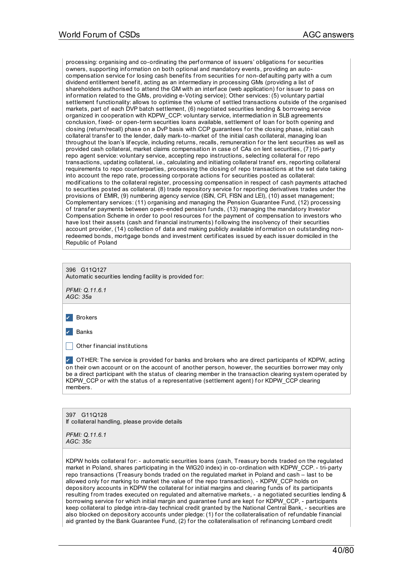processing: organising and co-ordinating the perf ormance of issuers' obligations f or securities owners, supporting inf ormation on both optional and mandatory events, providing an autocompensation service for losing cash benefits from securities for non-def aulting party with a cum dividend entitlement benefit, acting as an intermediary in processing GMs (providing a list of shareholders authorised to attend the GM with an interface (web application) for issuer to pass on inf ormation related to the GMs, providing e-Voting service); Other services: (5) voluntary partial settlement functionality: allows to optimise the volume of settled transactions outside of the organised markets, part of each DVP batch settlement, (6) negotiated securities lending & borrowing service organized in cooperation with KDPW\_CCP: voluntary service, intermediation in SLB agreements conclusion, fixed- or open-term securities loans available, settlement of loan for both opening and closing (return/recall) phase on a DvP basis with CCP guarantees for the closing phase, initial cash collateral transfer to the lender, daily mark-to-market of the initial cash collateral, managing loan throughout the loan's lifecycle, including returns, recalls, remuneration for the lent securities as well as provided cash collateral, market claims compensation in case of CAs on lent securities, (7) tri-party repo agent service: voluntary service, accepting repo instructions, selecting collateral for repo transactions, updating collateral, i.e., calculating and initiating collateral transf ers, reporting collateral requirements to repo counterparties, processing the closing of repo transactions at the set date taking into account the repo rate, processing corporate actions for securities posted as collateral: modif ications to the collateral register, processing compensation in respect of cash payments attached to securities posted as collateral. (8) trade repository service for reporting derivatives trades under the provisions of EMIR, (9) numbering agency service (ISIN, CFI, FISN and LEI), (10) asset management; Complementary services: (11) organising and managing the Pension Guarantee Fund, (12) processing of transfer payments between open-ended pension funds, (13) managing the mandatory Investor Compensation Scheme in order to pool resources for the payment of compensation to investors who have lost their assets (cash and financial instruments) following the insolvency of their securities account provider, (14) collection of data and making publicly available information on outstanding nonredeemed bonds, mortgage bonds and investment certif icates issued by each issuer domiciled in the Republic of Poland

| 396 G11Q127<br>Automatic securities lending facility is provided for: |
|-----------------------------------------------------------------------|
| PFMI: Q.11.6.1                                                        |

*AGC: 35a*

✔ Brokers

✔ Banks

 $\Box$  Other financial institutions

✔ OTHER: The service is provided f or banks and brokers who are direct participants of KDPW, acting on their own account or on the account of another person, however, the securities borrower may only be a direct participant with the status of clearing member in the transaction clearing system operated by KDPW\_CCP or with the status of a representative (settlement agent) for KDPW\_CCP clearing mamhare

397 G11Q128 If collateral handling, please provide details

*PFMI: Q.11.6.1 AGC: 35c*

KDPW holds collateral for: - automatic securities loans (cash, Treasury bonds traded on the regulated market in Poland, shares participating in the WIG20 index) in co-ordination with KDPW\_CCP. - tri-party repo transactions (Treasury bonds traded on the regulated market in Poland and cash – last to be allowed only for marking to market the value of the repo transaction), - KDPW\_CCP holds on depository accounts in KDPW the collateral for initial margins and clearing funds of its participants resulting from trades executed on regulated and alternative markets, - a negotiated securities lending & borrowing service for which initial margin and quarantee fund are kept for KDPW CCP, - participants keep collateral to pledge intra-day technical credit granted by the National Central Bank, - securities are also blocked on depository accounts under pledge: (1) for the collateralisation of refundable financial aid granted by the Bank Guarantee Fund, (2) for the collateralisation of refinancing Lombard credit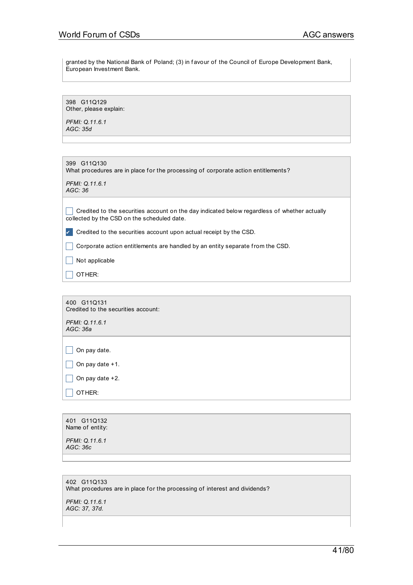granted by the National Bank of Poland; (3) in f avour of the Council of Europe Development Bank, European Investment Bank.

398 G11Q129 Other, please explain:

*PFMI: Q.11.6.1 AGC: 35d*

399 G11Q130 What procedures are in place for the processing of corporate action entitlements? *PFMI: Q.11.6.1*

*AGC: 36*

 $\Box$  Credited to the securities account on the day indicated below regardless of whether actually collected by the CSD on the scheduled date.

✔ Credited to the securities account upon actual receipt by the CSD.

\_ Corporate action entitlements are handled by an entity separate from the CSD.

 $\Box$  Not applicable

 $\Box$  OTHER:

400 G11Q131 Credited to the securities account: *PFMI: Q.11.6.1*

 $\Box$  On pay date.

*AGC: 36a*

 $\Box$  On pay date +1.

 $\Box$  On pay date +2.

 $\Box$  OTHER:

| 401 G11Q132<br>Name of entity: |  |  |  |
|--------------------------------|--|--|--|
| PFMI: Q.11.6.1<br>AGC: 36c     |  |  |  |
|                                |  |  |  |

# 402 G11Q133 What procedures are in place for the processing of interest and dividends?

*PFMI: Q.11.6.1 AGC: 37, 37d.*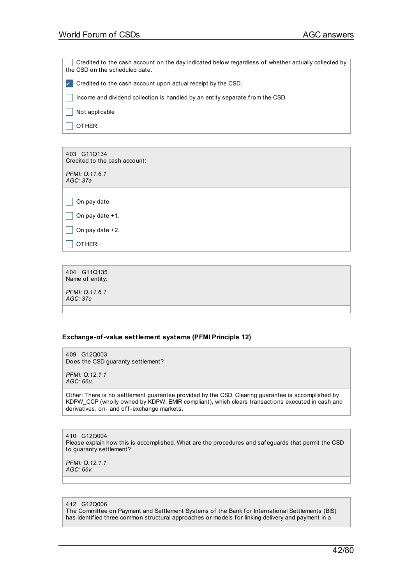$\Box$  Credited to the cash account on the day indicated below regardless of whether actually collected by the CSD on the scheduled date.

✔ Credited to the cash account upon actual receipt by the CSD.

 $\Box$  Income and dividend collection is handled by an entity separate from the CSD.

 $\Box$  Not applicable

 $\Box$  OTHER:

403 G11Q134 Credited to the cash account:

*PFMI: Q.11.6.1 AGC: 37a*

 $\Box$  On pay date.

 $\Box$  On pay date +1.

 $\Box$  On pay date +2.

 $\Box$  OTHER:

404 G11Q135 Name of entity:

*PFMI: Q.11.6.1 AGC: 37c*

## **Exchange-of-value settlement systems (PFMI Principle 12)**

409 G12Q003 Does the CSD guaranty settlement?

*PFMI: Q.12.1.1 AGC: 66u.*

Other: There is no settlement guarantee provided by the CSD. Clearing guarantee is accomplished by KDPW\_CCP (wholly owned by KDPW, EMIR compliant), which clears transactions executed in cash and derivatives, on- and off-exchange markets.

410 G12Q004 Please explain how this is accomplished. What are the procedures and saf eguards that permit the CSD to guaranty settlement?

*PFMI: Q.12.1.1 AGC: 66v.*

#### 412 G12Q006

The Committee on Payment and Settlement Systems of the Bank for International Settlements (BIS) has identified three common structural approaches or models for linking delivery and payment in a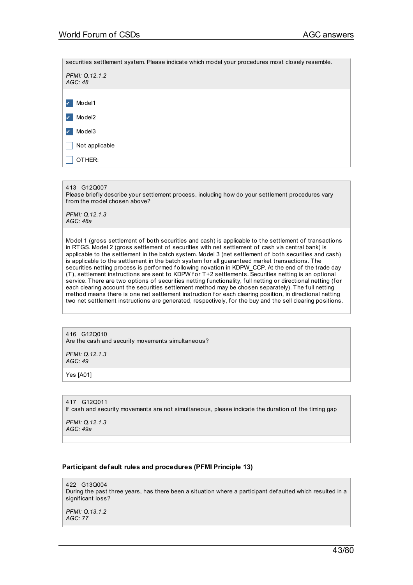securities settlement system. Please indicate which model your procedures most closely resemble. *PFMI: Q.12.1.2 AGC: 48* ✔ Model1 ✔ Model2 ✔ Model3  $\Box$  Not applicable  $\Box$  OTHER:

413 G12Q007

Please briefly describe your settlement process, including how do your settlement procedures vary from the model chosen above?

*PFMI: Q.12.1.3 AGC: 48a*

Model 1 (gross settlement of both securities and cash) is applicable to the settlement of transactions in RTGS. Model 2 (gross settlement of securities with net settlement of cash via central bank) is applicable to the settlement in the batch system. Model 3 (net settlement of both securities and cash) is applicable to the settlement in the batch system for all guaranteed market transactions. The securities netting process is performed following novation in KDPW\_CCP. At the end of the trade day (T), settlement instructions are sent to KDPW for T+2 settlements. Securities netting is an optional service. There are two options of securities netting functionality, full netting or directional netting (for each clearing account the securities settlement method may be chosen separately). The full netting method means there is one net settlement instruction for each clearing position, in directional netting two net settlement instructions are generated, respectively, for the buy and the sell clearing positions.

416 G12Q010 Are the cash and security movements simultaneous?

*PFMI: Q.12.1.3 AGC: 49*

Yes [A01]

417 G12Q011 If cash and security movements are not simultaneous, please indicate the duration of the timing gap

*PFMI: Q.12.1.3 AGC: 49a*

## **Participant default rules and procedures (PFMI Principle 13)**

422 G13Q004 During the past three years, has there been a situation where a participant def aulted which resulted in a significant loss?

*PFMI: Q.13.1.2 AGC: 77*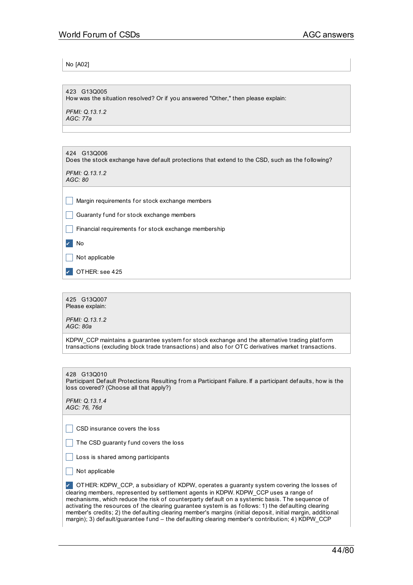No [A02]

423 G13Q005 How was the situation resolved? Or if you answered "Other," then please explain:

*PFMI: Q.13.1.2 AGC: 77a*

424 G13Q006 Does the stock exchange have def ault protections that extend to the CSD, such as the following? *PFMI: Q.13.1.2 AGC: 80*

 $\Box$  Margin requirements for stock exchange members

 $\Box$  Guaranty fund for stock exchange members

 $\Box$  Financial requirements for stock exchange membership

✔ No

 $\Box$  Not applicable

OTHER: see 425

425 G13Q007 Please explain:

*PFMI: Q.13.1.2 AGC: 80a*

KDPW CCP maintains a guarantee system for stock exchange and the alternative trading platform transactions (excluding block trade transactions) and also f or OTC derivatives market transactions.

428 G13Q010

Participant Def ault Protections Resulting from a Participant Failure. If a participant def aults, how is the loss covered? (Choose all that apply?)

*PFMI: Q.13.1.4 AGC: 76, 76d*

 $\Box$  CSD insurance covers the loss

 $\Box$  The CSD guaranty fund covers the loss

 $\Box$  Loss is shared among participants

 $\Box$  Not applicable

✔ OTHER: KDPW\_CCP, a subsidiary of KDPW, operates a guaranty system covering the losses of clearing members, represented by settlement agents in KDPW. KDPW\_CCP uses a range of mechanisms, which reduce the risk of counterparty def ault on a systemic basis. The sequence of activating the resources of the clearing guarantee system is as f ollows: 1) the def aulting clearing member's credits; 2) the def aulting clearing member's margins (initial deposit, initial margin, additional margin); 3) def ault/guarantee f und - the def aulting clearing member's contribution; 4) KDPW\_CCP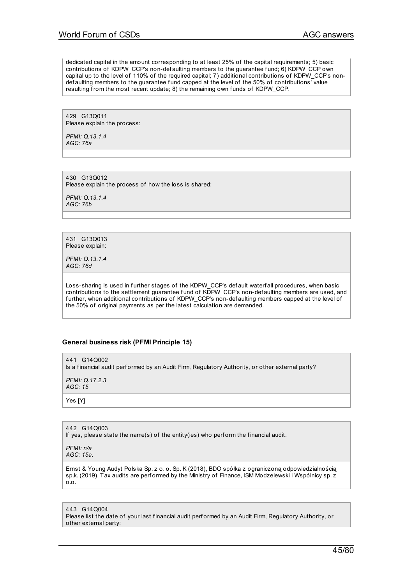dedicated capital in the amount corresponding to at least 25% of the capital requirements; 5) basic contributions of KDPW\_CCP's non-def aulting members to the guarantee fund; 6) KDPW\_CCP own capital up to the level of 110% of the required capital; 7) additional contributions of KDPW\_CCP's nondef aulting members to the guarantee f und capped at the level of the 50% of contributions' value resulting from the most recent update; 8) the remaining own funds of KDPW\_CCP.

429 G13Q011 Please explain the process:

*PFMI: Q.13.1.4 AGC: 76a*

430 G13Q012 Please explain the process of how the loss is shared:

*PFMI: Q.13.1.4 AGC: 76b*

431 G13Q013 Please explain:

*PFMI: Q.13.1.4 AGC: 76d*

Loss-sharing is used in further stages of the KDPW\_CCP's def ault waterf all procedures, when basic contributions to the settlement guarantee fund of KDPW\_CCP's non-def aulting members are used, and further, when additional contributions of KDPW\_CCP's non-def aulting members capped at the level of the 50% of original payments as per the latest calculation are demanded.

## **General business risk (PFMI Principle 15)**

441 G140002 Is a f inancial audit perf ormed by an Audit Firm, Regulatory Authority, or other external party? *PFMI: Q.17.2.3 AGC: 15*

Yes [Y]

442 G14Q003 If yes, please state the name(s) of the entity(ies) who perform the financial audit.

*PFMI: n/a AGC: 15a.*

Ernst & Young Audyt Polska Sp. z o. o. Sp. K (2018), BDO spółka z ograniczoną odpowiedzialnością sp.k. (2019). Tax audits are performed by the Ministry of Finance, ISM Modzelewski i Wspólnicy sp. z  $0.0$ .

443 G14Q004 Please list the date of your last financial audit performed by an Audit Firm, Regulatory Authority, or other external party: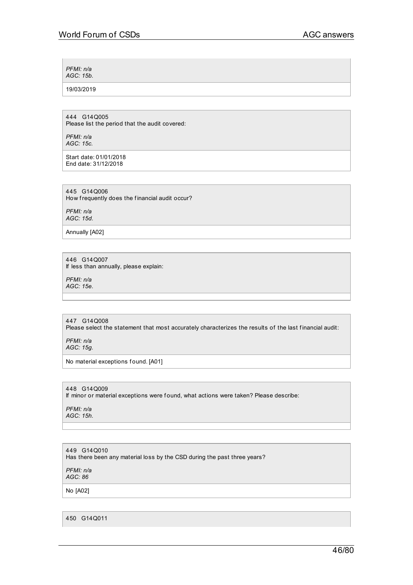*PFMI: n/a AGC: 15b.*

19/03/2019

444 G14Q005 Please list the period that the audit covered:

*PFMI: n/a AGC: 15c.*

Start date: 01/01/2018 End date: 31/12/2018

445 G14Q006 How frequently does the financial audit occur?

*PFMI: n/a AGC: 15d.*

Annually [A02]

446 G14Q007 If less than annually, please explain:

*PFMI: n/a AGC: 15e.*

447 G14Q008 Please select the statement that most accurately characterizes the results of the last financial audit:

*PFMI: n/a AGC: 15g.*

No material exceptions found. [A01]

448 G14Q009 If minor or material exceptions were found, what actions were taken? Please describe:

*PFMI: n/a AGC: 15h.*

449 G14Q010 Has there been any material loss by the CSD during the past three years?

*PFMI: n/a AGC: 86*

No [A02]

450 G14Q011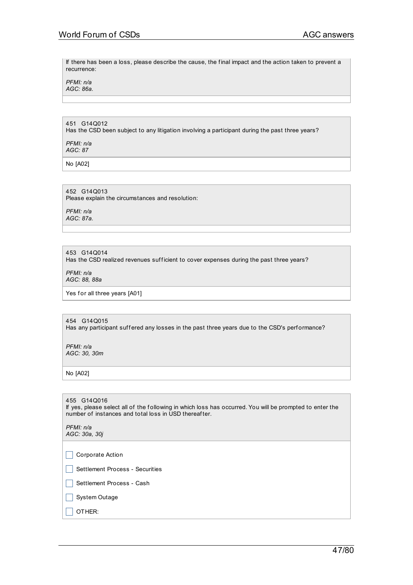If there has been a loss, please describe the cause, the f inal impact and the action taken to prevent a recurrence:

*PFMI: n/a AGC: 86a.*

451 G14Q012 Has the CSD been subject to any litigation involving a participant during the past three years?

*PFMI: n/a AGC: 87*

No [A02]

452 G14Q013 Please explain the circumstances and resolution:

*PFMI: n/a AGC: 87a.*

453 G14Q014

Has the CSD realized revenues sufficient to cover expenses during the past three years?

*PFMI: n/a AGC: 88, 88a*

Yes for all three years [A01]

454 G14Q015 Has any participant suffered any losses in the past three years due to the CSD's performance?

*PFMI: n/a AGC: 30, 30m*

No [A02]

455 G14Q016 If yes, please select all of the following in which loss has occurred. You will be prompted to enter the number of instances and total loss in USD thereaf ter.

*PFMI: n/a AGC: 30a, 30j*

 $\Box$  Corporate Action

Settlement Process - Securities

Settlement Process - Cash

 $\Box$  System Outage

 $\Box$  OTHER: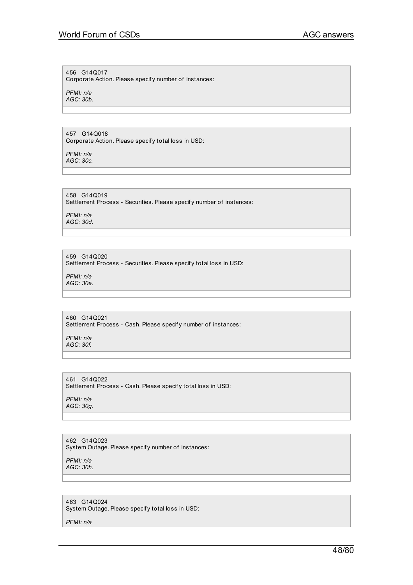#### 456 G14Q017

Corporate Action. Please specif y number of instances:

*PFMI: n/a AGC: 30b.*

#### 457 G14Q018

Corporate Action. Please specif y total loss in USD:

*PFMI: n/a AGC: 30c.*

458 G14Q019 Settlement Process - Securities. Please specif y number of instances:

*PFMI: n/a AGC: 30d.*

# 459 G14Q020

Settlement Process - Securities. Please specif y total loss in USD:

*PFMI: n/a AGC: 30e.*

#### 460 G14Q021 Settlement Process - Cash. Please specif y number of instances:

*PFMI: n/a AGC: 30f.*

#### 461 G14Q022 Settlement Process - Cash. Please specif y total loss in USD:

*PFMI: n/a AGC: 30g.*

#### 462 G14Q023 System Outage. Please specif y number of instances:

*PFMI: n/a AGC: 30h.*

# 463 G14Q024

System Outage. Please specif y total loss in USD:

*PFMI: n/a*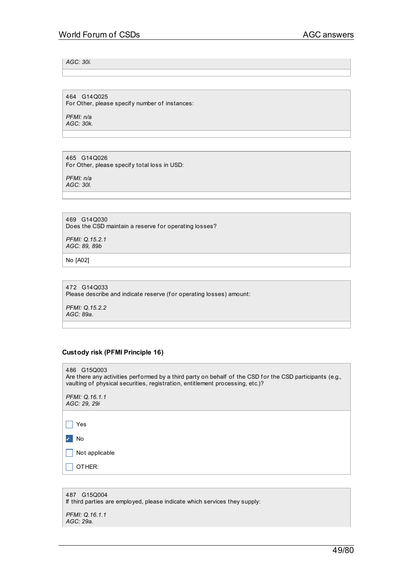*AGC: 30i.*

464 G14Q025 For Other, please specif y number of instances:

*PFMI: n/a AGC: 30k.*

465 G14Q026 For Other, please specif y total loss in USD:

*PFMI: n/a AGC: 30l.*

469 G14Q030 Does the CSD maintain a reserve for operating losses?

*PFMI: Q.15.2.1 AGC: 89, 89b*

No [A02]

472 G14Q033 Please describe and indicate reserve (for operating losses) amount:

*PFMI: Q.15.2.2 AGC: 89a.*

# **Custody risk (PFMI Principle 16)**

486 G15Q003 Are there any activities performed by a third party on behalf of the CSD for the CSD participants (e.g., vaulting of physical securities, registration, entitlement processing, etc.)? *PFMI: Q.16.1.1 AGC: 29, 29i*  $\Box$  Yes ✔ No  $\Box$  Not applicable  $\Box$  OTHER:

| 487 G15Q004<br>If third parties are employed, please indicate which services they supply: |
|-------------------------------------------------------------------------------------------|
| PFMI: Q.16.1.1<br>AGC: 29a.                                                               |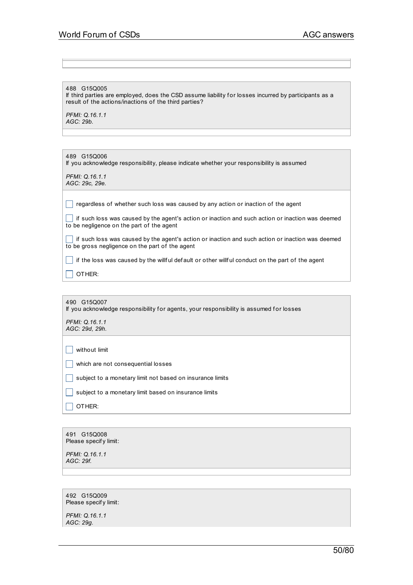488 G15Q005

If third parties are employed, does the CSD assume liability for losses incurred by participants as a result of the actions/inactions of the third parties?

*PFMI: Q.16.1.1 AGC: 29b.*

| 489 G15Q006<br>If you acknowledge responsibility, please indicate whether your responsibility is assumed |
|----------------------------------------------------------------------------------------------------------|
| PFMI: 0.16.1.1<br>AGC: 29c. 29e.                                                                         |

 $\Box$  regardless of whether such loss was caused by any action or inaction of the agent

 $\Box$  if such loss was caused by the agent's action or inaction and such action or inaction was deemed to be negligence on the part of the agent

 $\Box$  if such loss was caused by the agent's action or inaction and such action or inaction was deemed to be gross negligence on the part of the agent

 $\Box$  if the loss was caused by the willful default or other willful conduct on the part of the agent

 $\Box$  OTHER:

490 G15Q007 If you acknowledge responsibility for agents, your responsibility is assumed for losses *PFMI: Q.16.1.1 AGC: 29d, 29h.*

 $\Box$  without limit

 $\Box$  which are not consequential losses

 $\Box$  subject to a monetary limit not based on insurance limits

 $\Box$  subject to a monetary limit based on insurance limits

 $\Box$  OTHER:

491 G15Q008 Please specif y limit:

*PFMI: Q.16.1.1 AGC: 29f.*

492 G15Q009 Please specif y limit:

*PFMI: Q.16.1.1 AGC: 29g.*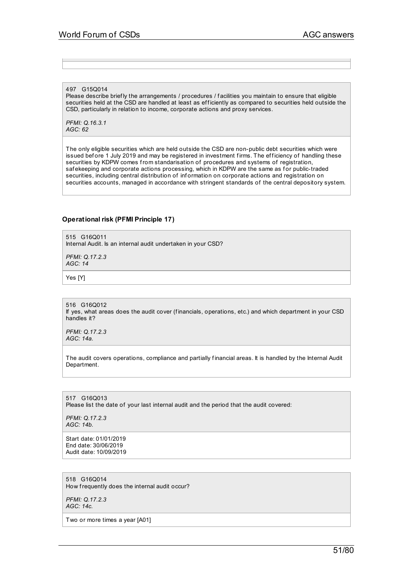#### 497 G15Q014

Please describe briefly the arrangements / procedures / facilities you maintain to ensure that eligible securities held at the CSD are handled at least as efficiently as compared to securities held outside the CSD, particularly in relation to income, corporate actions and proxy services.

*PFMI: Q.16.3.1 AGC: 62*

The only eligible securities which are held outside the CSD are non-public debt securities which were issued before 1 July 2019 and may be registered in investment firms. The efficiency of handling these securities by KDPW comes from standarisation of procedures and systems of registration, safekeeping and corporate actions processing, which in KDPW are the same as for public-traded securities, including central distribution of inf ormation on corporate actions and registration on securities accounts, managed in accordance with stringent standards of the central depository system.

#### **Operational risk (PFMI Principle 17)**

515 G16Q011 Internal Audit. Is an internal audit undertaken in your CSD?

*PFMI: Q.17.2.3 AGC: 14*

Yes [Y]

516 G16Q012 If yes, what areas does the audit cover (f inancials, operations, etc.) and which department in your CSD handles it?

*PFMI: Q.17.2.3 AGC: 14a.*

The audit covers operations, compliance and partially financial areas. It is handled by the Internal Audit Department.

517 G16Q013 Please list the date of your last internal audit and the period that the audit covered:

*PFMI: Q.17.2.3 AGC: 14b.*

Start date: 01/01/2019 End date: 30/06/2019 Audit date: 10/09/2019

518 G16Q014 How frequently does the internal audit occur?

*PFMI: Q.17.2.3 AGC: 14c.*

Two or more times a year [A01]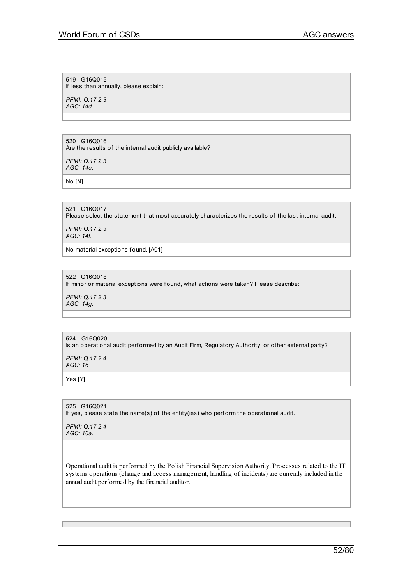519 G16Q015 If less than annually, please explain:

*PFMI: Q.17.2.3 AGC: 14d.*

#### 520 G16Q016

Are the results of the internal audit publicly available?

*PFMI: Q.17.2.3 AGC: 14e.*

No [N]

# 521 G16Q017

Please select the statement that most accurately characterizes the results of the last internal audit:

*PFMI: Q.17.2.3 AGC: 14f.*

No material exceptions found. [A01]

# 522 G16Q018

If minor or material exceptions were found, what actions were taken? Please describe:

*PFMI: Q.17.2.3 AGC: 14g.*

# 524 G16Q020

Is an operational audit performed by an Audit Firm, Regulatory Authority, or other external party?

*PFMI: Q.17.2.4 AGC: 16*

Yes [Y]

525 G16Q021 If yes, please state the name(s) of the entity(ies) who perform the operational audit.

*PFMI: Q.17.2.4 AGC: 16a.*

Operational audit is performed by the Polish Financial Supervision Authority. Processes related to the IT systems operations (change and access management, handling of incidents) are currently included in the annual audit performed by the financial auditor.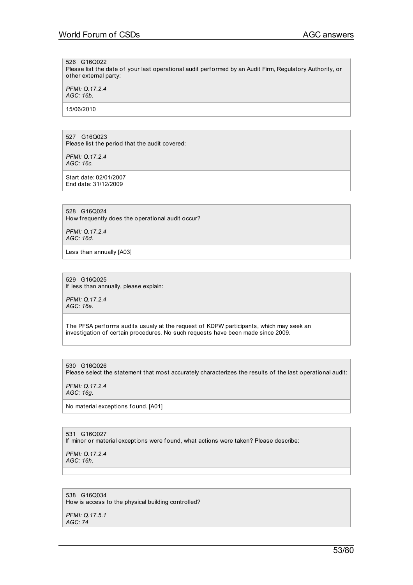#### 526 G16Q022

Please list the date of your last operational audit performed by an Audit Firm, Regulatory Authority, or other external party:

*PFMI: Q.17.2.4 AGC: 16b.*

15/06/2010

#### 527 G16Q023 Please list the period that the audit covered:

*PFMI: Q.17.2.4 AGC: 16c.*

Start date: 02/01/2007 End date: 31/12/2009

# 528 G16Q024

How frequently does the operational audit occur?

*PFMI: Q.17.2.4 AGC: 16d.*

Less than annually [A03]

529 G16Q025 If less than annually, please explain:

*PFMI: Q.17.2.4 AGC: 16e.*

The PFSA performs audits usualy at the request of KDPW participants, which may seek an investigation of certain procedures. No such requests have been made since 2009.

530 G16Q026 Please select the statement that most accurately characterizes the results of the last operational audit:

*PFMI: Q.17.2.4 AGC: 16g.*

No material exceptions found. [A01]

531 G16Q027 If minor or material exceptions were found, what actions were taken? Please describe:

*PFMI: Q.17.2.4 AGC: 16h.*

538 G16Q034 How is access to the physical building controlled?

*PFMI: Q.17.5.1 AGC: 74*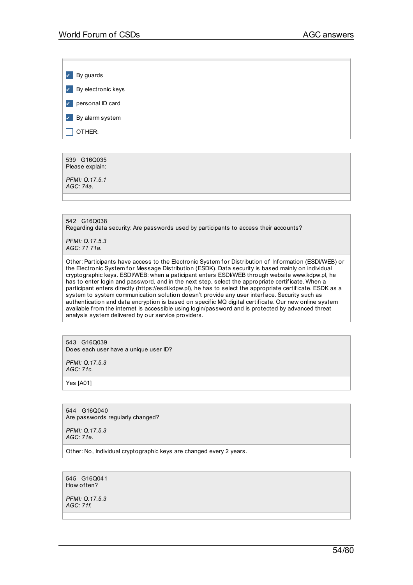*v* By guards *v* By electronic keys ✔ personal ID card **7** By alarm system

 $\Box$  Other:

539 G16Q035 Please explain:

*PFMI: Q.17.5.1 AGC: 74a.*

542 G16Q038 Regarding data security: Are passwords used by participants to access their accounts?

*PFMI: Q.17.5.3 AGC: 71 71a.*

Other: Participants have access to the Electronic System for Distribution of Information (ESDI/WEB) or the Electronic System for Message Distribution (ESDK). Data security is based mainly on individual cryptographic keys. ESDI/WEB: when a paticipant enters ESDI/WEB through website www.kdpw.pl, he has to enter login and password, and in the next step, select the appropriate certificate. When a participant enters directly (https://esdi.kdpw.pl), he has to select the appropriate certif icate. ESDK as a system to system communication solution doesn't provide any user interf ace. Security such as authentication and data encryption is based on specific MQ digital certificate. Our new online system available from the internet is accessible using login/password and is protected by advanced threat analysis system delivered by our service providers.

543 G16Q039 Does each user have a unique user ID?

*PFMI: Q.17.5.3 AGC: 71c.*

Yes [A01]

544 G16Q040 Are passwords regularly changed?

*PFMI: Q.17.5.3 AGC: 71e.*

Other: No, Individual cryptographic keys are changed every 2 years.

545 G16Q041 How of ten?

*PFMI: Q.17.5.3 AGC: 71f.*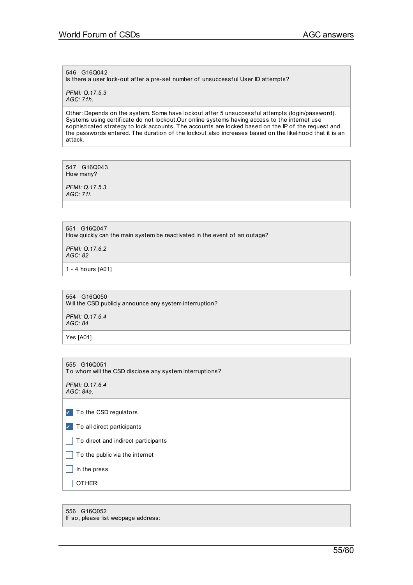# 546 G16Q042

Is there a user lock-out after a pre-set number of unsuccessful User ID attempts?

*PFMI: Q.17.5.3 AGC: 71h.*

Other: Depends on the system. Some have lockout af ter 5 unsuccessf ul attempts (login/password). Systems using certif icate do not lockout.Our online systems having access to the internet use sophisticated strategy to lock accounts. The accounts are locked based on the IP of the request and the passwords entered. The duration of the lockout also increases based on the likelihood that it is an attack.

547 G16Q043 How many?

*PFMI: Q.17.5.3 AGC: 71i.*

551 G16Q047 How quickly can the main system be reactivated in the event of an outage?

*PFMI: Q.17.6.2 AGC: 82*

1 - 4 hours [A01]

554 G16Q050 Will the CSD publicly announce any system interruption?

*PFMI: Q.17.6.4 AGC: 84*

Yes [A01]

555 G16Q051 To whom will the CSD disclose any system interruptions?

*PFMI: Q.17.6.4 AGC: 84a.*

|  |  |  | To the CSD regulators |
|--|--|--|-----------------------|
|--|--|--|-----------------------|

- $\triangledown$  To all direct participants
- $\Box$  To direct and indirect participants

 $\Box$  To the public via the internet

 $\Box$  In the press

 $\Box$  OTHER:

556 G16Q052 If so, please list webpage address: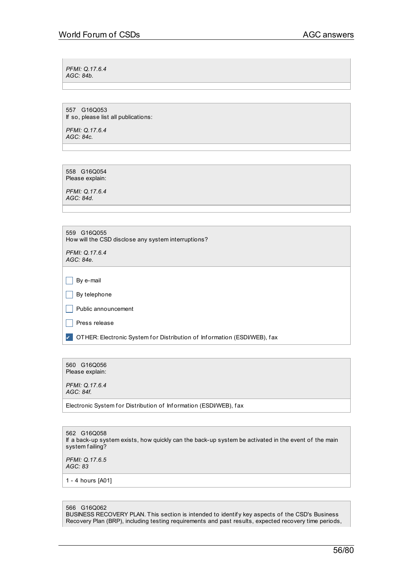*PFMI: Q.17.6.4 AGC: 84b.*

557 G16Q053 If so, please list all publications:

*PFMI: Q.17.6.4 AGC: 84c.*

558 G16Q054 Please explain:

*PFMI: Q.17.6.4 AGC: 84d.*

| 559 G16Q055 |  |                                                     |
|-------------|--|-----------------------------------------------------|
|             |  | How will the CSD disclose any system interruptions? |

*PFMI: Q.17.6.4 AGC: 84e.*

 $\Box$  By e-mail

 $\Box$  By telephone

 $\Box$  Public announcement

 $\Box$  Press release

▼ OTHER: Electronic System for Distribution of Information (ESDI/WEB), fax

560 G16Q056 Please explain:

*PFMI: Q.17.6.4 AGC: 84f.*

Electronic System for Distribution of Information (ESDI/WEB), fax

562 G16Q058 If a back-up system exists, how quickly can the back-up system be activated in the event of the main system failing?

*PFMI: Q.17.6.5 AGC: 83*

1 - 4 hours [A01]

566 G16Q062

BUSINESS RECOVERY PLAN. This section is intended to identify key aspects of the CSD's Business Recovery Plan (BRP), including testing requirements and past results, expected recovery time periods,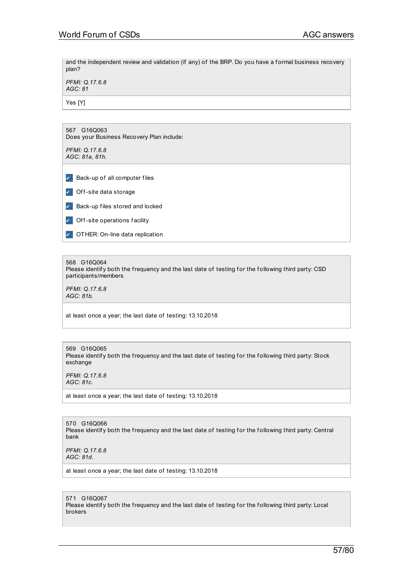and the independent review and validation (if any) of the BRP. Do you have a formal business recovery plan?

*PFMI: Q.17.6.8 AGC: 81*

Yes [Y]

| G16Q063<br>567<br>Does your Business Recovery Plan include: |
|-------------------------------------------------------------|
| PFMI: Q.17.6.8<br>AGC: 81a, 81h.                            |
|                                                             |
| Back-up of all computer files<br>$\checkmark$               |
| Off-site data storage<br>$\checkmark$                       |
| Back-up files stored and locked<br>$\checkmark$             |
| Off-site operations facility<br>$\checkmark$                |
| OTHER: On-line data replication<br>$\checkmark$             |

#### 568 G16Q064

Please identify both the frequency and the last date of testing for the following third party: CSD participants/members

*PFMI: Q.17.6.8 AGC: 81b.*

at least once a year; the last date of testing: 13.10.2018

569 G16Q065 Please identify both the frequency and the last date of testing for the following third party: Stock exchange

*PFMI: Q.17.6.8 AGC: 81c.*

at least once a year; the last date of testing: 13.10.2018

570 G16Q066 Please identify both the frequency and the last date of testing for the following third party: Central bank

*PFMI: Q.17.6.8 AGC: 81d.*

at least once a year; the last date of testing: 13.10.2018

571 G16Q067 Please identify both the frequency and the last date of testing for the following third party: Local brokers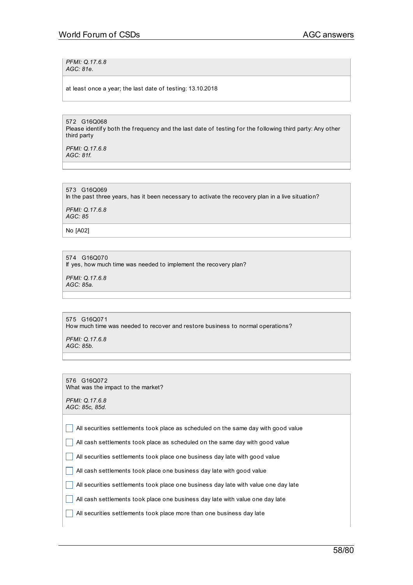*PFMI: Q.17.6.8 AGC: 81e.*

at least once a year; the last date of testing: 13.10.2018

572 G16Q068 Please identify both the frequency and the last date of testing for the following third party: Any other third party

*PFMI: Q.17.6.8 AGC: 81f.*

573 G16Q069 In the past three years, has it been necessary to activate the recovery plan in a live situation?

*PFMI: Q.17.6.8 AGC: 85*

No [A02]

574 G16Q070 If yes, how much time was needed to implement the recovery plan?

*PFMI: Q.17.6.8 AGC: 85a.*

575 G16Q071 How much time was needed to recover and restore business to normal operations?

*PFMI: Q.17.6.8 AGC: 85b.*

576 G16Q072 What was the impact to the market?

*PFMI: Q.17.6.8 AGC: 85c, 85d.*

 $\Box$  All securities settlements took place as scheduled on the same day with good value

 $\Box$  All cash settlements took place as scheduled on the same day with good value

 $\Box$  All securities settlements took place one business day late with good value

 $\Box$  All cash settlements took place one business day late with good value

 $\Box$  All securities settlements took place one business day late with value one day late

 $\Box$  All cash settlements took place one business day late with value one day late

 $\Box$  All securities settlements took place more than one business day late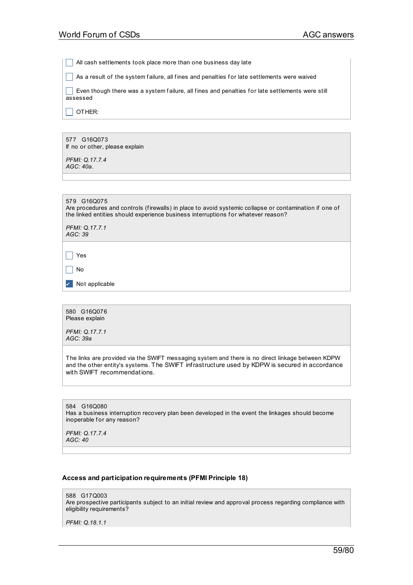$\Box$  All cash settlements took place more than one business day late

 $\Box$  As a result of the system failure, all fines and penalties for late settlements were waived

 $\vert \ \vert$  Even though there was a system failure, all fines and penalties for late settlements were still assessed

 $\Box$  OTHER:

577 G16Q073 If no or other, please explain

*PFMI: Q.17.7.4 AGC: 40a.*

579 G16Q075 Are procedures and controls (firewalls) in place to avoid systemic collapse or contamination if one of the linked entities should experience business interruptions for whatever reason?

*PFMI: Q.17.7.1 AGC: 39*

 $\Box$  Yes

 $\Box$  No

✔ Not applicable

580 G16Q076 Please explain

*PFMI: Q.17.7.1 AGC: 39a*

The links are provided via the SWIFT messaging system and there is no direct linkage between KDPW and the other entity's systems. The SWIFT infrastructure used by KDPW is secured in accordance with SWIFT recommendations.

584 G16Q080 Has a business interruption recovery plan been developed in the event the linkages should become inoperable for any reason?

*PFMI: Q.17.7.4 AGC: 40*

#### **Access and participation requirements (PFMI Principle 18)**

588 G17Q003 Are prospective participants subject to an initial review and approval process regarding compliance with eligibility requirements?

*PFMI: Q.18.1.1*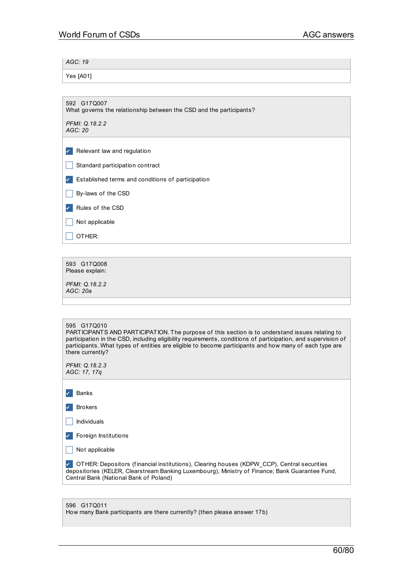*AGC: 19*

Yes [A01]

What governs the relationship between the CSD and the participants?

*PFMI: Q.18.2.2 AGC: 20*

| ✓ |  |                             |
|---|--|-----------------------------|
|   |  | Relevant law and regulation |

- $\Box$  Standard participation contract
- ✔ Established terms and conditions of participation
- $\Box$  By-laws of the CSD

✔ Rules of the CSD

 $\Box$  Not applicable

 $\Box$  OTHER:

593 G17Q008 Please explain:

*PFMI: Q.18.2.2 AGC: 20a*

#### 595 G17Q010

PARTICIPANTS AND PARTICIPATION. The purpose of this section is to understand issues relating to participation in the CSD, including eligibility requirements, conditions of participation, and supervision of participants. What types of entities are eligible to become participants and how many of each type are there currently?

*PFMI: Q.18.2.3 AGC: 17, 17q*

| Banks |
|-------|

✔ Brokers

 $\Box$  Individuals

✔ Foreign Institutions

 $\Box$  Not applicable

✔ OTHER: Depositors (f inancial institutions), Clearing houses (KDPW\_CCP), Central securities depositories (KELER, Clearstream Banking Luxembourg), Ministry of Finance; Bank Guarantee Fund, Central Bank (National Bank of Poland)

| 596 G17Q011                                                              |
|--------------------------------------------------------------------------|
| How many Bank participants are there currently? (then please answer 17b) |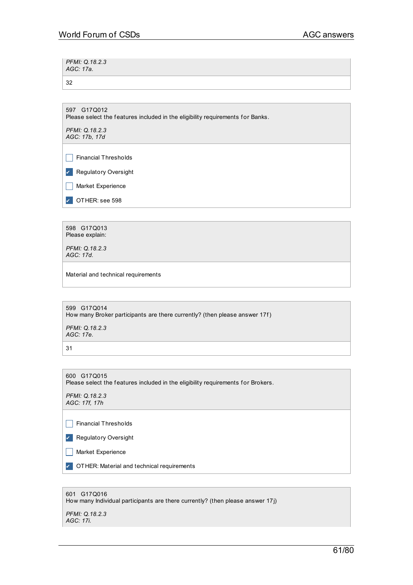| PFMI: Q.18.2.3<br>AGC: 17a. |  |
|-----------------------------|--|
| -32                         |  |

597 G17Q012 Please select the features included in the eligibility requirements for Banks.

*PFMI: Q.18.2.3 AGC: 17b, 17d*

 $\Box$  Financial Thresholds

✔ Regulatory Oversight

 $\Box$  Market Experience

DTHER: see 598

598 G17Q013 Please explain:

*PFMI: Q.18.2.3 AGC: 17d.*

Material and technical requirements

599 G17Q014 How many Broker participants are there currently? (then please answer 17f) *PFMI: Q.18.2.3 AGC: 17e.*

31

600 G17Q015 Please select the features included in the eligibility requirements for Brokers.

*PFMI: Q.18.2.3 AGC: 17f, 17h*

 $\Box$  Financial Thresholds

✔ Regulatory Oversight

 $\Box$  Market Experience

**7** OTHER: Material and technical requirements

| 601 G17Q016<br>How many Individual participants are there currently? (then please answer 17j) |
|-----------------------------------------------------------------------------------------------|
| PFMI: Q.18.2.3<br>AGC: 17i.                                                                   |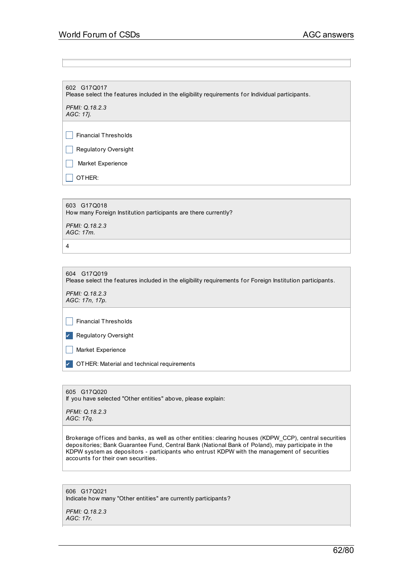602 G17Q017 Please select the features included in the eligibility requirements for Individual participants.

*PFMI: Q.18.2.3 AGC: 17j.*

 $\Box$  Financial Thresholds

 $\Box$  Regulatory Oversight

 $\Box$  Market Experience

 $\Box$  OTHER:

603 G17Q018 How many Foreign Institution participants are there currently?

*PFMI: Q.18.2.3 AGC: 17m.*

4

604 G17Q019 Please select the features included in the eligibility requirements for Foreign Institution participants. *PFMI: Q.18.2.3 AGC: 17n, 17p.*  $\Box$  Financial Thresholds

✔ Regulatory Oversight

 $\Box$  Market Experience

**7** OTHER: Material and technical requirements

605 G17Q020 If you have selected "Other entities" above, please explain:

*PFMI: Q.18.2.3 AGC: 17q.*

Brokerage offices and banks, as well as other entities: clearing houses (KDPW\_CCP), central securities depositories; Bank Guarantee Fund, Central Bank (National Bank of Poland), may participate in the KDPW system as depositors - participants who entrust KDPW with the management of securities accounts for their own securities.

606 G17Q021 Indicate how many "Other entities" are currently participants?

*PFMI: Q.18.2.3 AGC: 17r.*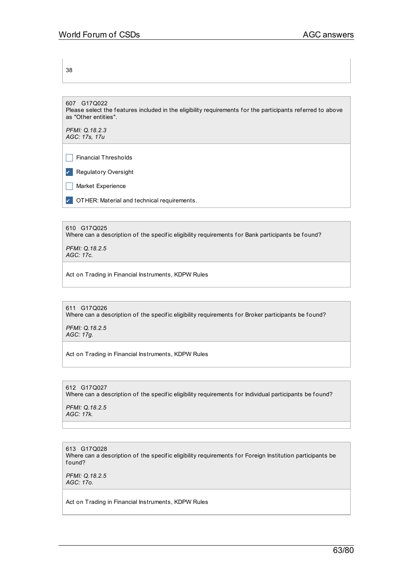38

607 G17Q022 Please select the features included in the eligibility requirements for the participants referred to above as "Other entities".

*PFMI: Q.18.2.3 AGC: 17s, 17u*

 $\Box$  Financial Thresholds

✔ Regulatory Oversight

 $\Box$  Market Experience

**7** OTHER: Material and technical requirements.

610 G17Q025 Where can a description of the specific eligibility requirements for Bank participants be found?

*PFMI: Q.18.2.5 AGC: 17c.*

Act on Trading in Financial Instruments, KDPW Rules

611 G17Q026 Where can a description of the specific eligibility requirements for Broker participants be found?

*PFMI: Q.18.2.5 AGC: 17g.*

Act on Trading in Financial Instruments, KDPW Rules

612 G17Q027 Where can a description of the specific eligibility requirements for Individual participants be found?

*PFMI: Q.18.2.5 AGC: 17k.*

613 G17Q028 Where can a description of the specific eligibility requirements for Foreign Institution participants be f ound?

*PFMI: Q.18.2.5 AGC: 17o.*

Act on Trading in Financial Instruments, KDPW Rules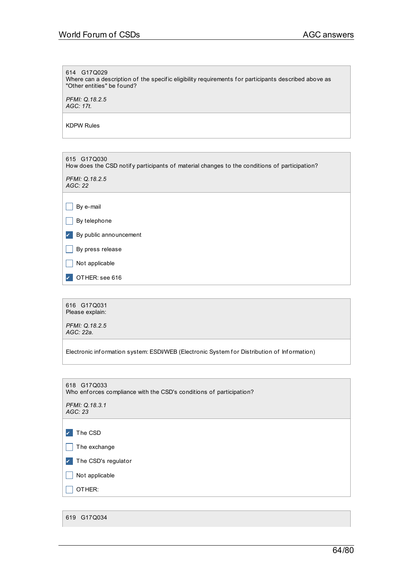# 614 G17Q029 Where can a description of the specific eligibility requirements for participants described above as "Other entities" be found? *PFMI: Q.18.2.5 AGC: 17t.* KDPW Rules 615 G17Q030 How does the CSD notify participants of material changes to the conditions of participation? *PFMI: Q.18.2.5 AGC: 22*  $\Box$  By e-mail  $\Box$  By telephone ✔ By public announcement  $\Box$  By press release  $\Box$  Not applicable OTHER: see 616 616 G17Q031 Please explain: *PFMI: Q.18.2.5 AGC: 22a.* Electronic information system: ESDI/WEB (Electronic System for Distribution of Information) 618 G17Q033 Who enforces compliance with the CSD's conditions of participation? *PFMI: Q.18.3.1 AGC: 23* **7** The CSD  $\Box$  The exchange

✔ The CSD's regulator  $\Box$  Not applicable  $\Box$  OTHER: 619 G17Q034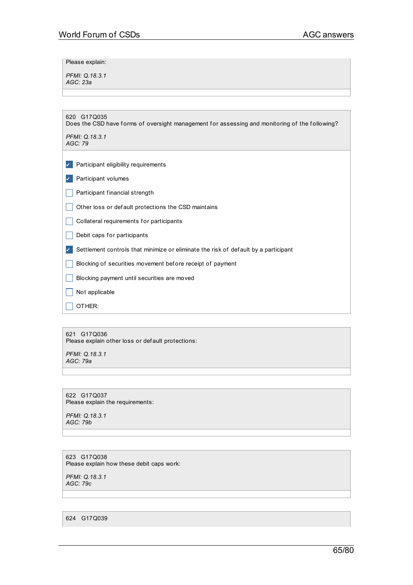Please explain:

*PFMI: Q.18.3.1 AGC: 23a*

| 620 G17Q035<br>Does the CSD have forms of oversight management for assessing and monitoring of the following? |
|---------------------------------------------------------------------------------------------------------------|
| PFMI: Q.18.3.1<br>AGC:79                                                                                      |
| Participant eligibility requirements                                                                          |
| Participant volumes                                                                                           |
| Participant financial strength                                                                                |
| Other loss or default protections the CSD maintains                                                           |
| Collateral requirements for participants                                                                      |
| Debit caps for participants                                                                                   |
| Settlement controls that minimize or eliminate the risk of default by a participant                           |
| Blocking of securities movement before receipt of payment                                                     |
| Blocking payment until securities are moved                                                                   |
| Not applicable                                                                                                |
| OTHER:                                                                                                        |

621 G17Q036 Please explain other loss or def ault protections:

*PFMI: Q.18.3.1 AGC: 79a*

622 G17Q037 Please explain the requirements:

*PFMI: Q.18.3.1 AGC: 79b*

623 G17Q038 Please explain how these debit caps work:

*PFMI: Q.18.3.1 AGC: 79c*

624 G17Q039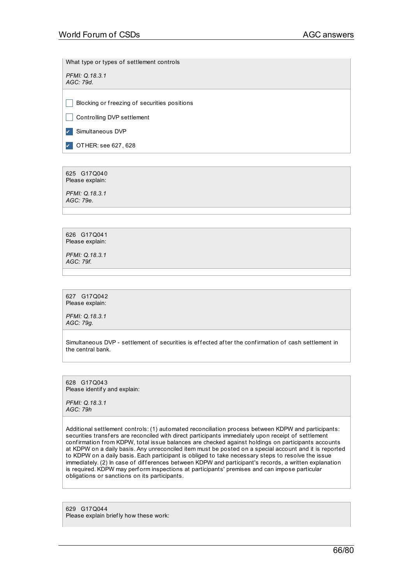What type or types of settlement controls

*PFMI: Q.18.3.1 AGC: 79d.*

 $\Box$  Blocking or freezing of securities positions

Controlling DVP settlement

✔ Simultaneous DVP

✔ OTHER: see 627, 628

625 G17Q040 Please explain:

*PFMI: Q.18.3.1 AGC: 79e.*

626 G17Q041 Please explain:

*PFMI: Q.18.3.1 AGC: 79f.*

627 G17Q042 Please explain:

*PFMI: Q.18.3.1 AGC: 79g.*

Simultaneous DVP - settlement of securities is effected after the confirmation of cash settlement in the central bank.

628 G17Q043 Please identif y and explain:

*PFMI: Q.18.3.1 AGC: 79h*

Additional settlement controls: (1) automated reconciliation process between KDPW and participants: securities transfers are reconciled with direct participants immediately upon receipt of settlement confirmation from KDPW, total issue balances are checked against holdings on participants accounts at KDPW on a daily basis. Any unreconciled item must be posted on a special account and it is reported to KDPW on a daily basis. Each participant is obliged to take necessary steps to resolve the issue immediately. (2) In case of differences between KDPW and participant's records, a written explanation is required. KDPW may perform inspections at participants' premises and can impose particular obligations or sanctions on its participants.

629 G17Q044 Please explain brief ly how these work: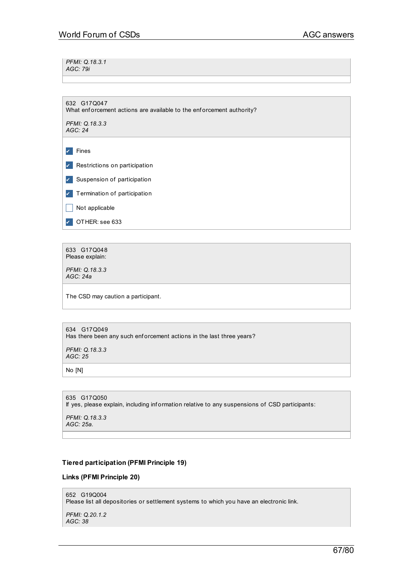*PFMI: Q.18.3.1 AGC: 79i*

632 G17Q047 What enforcement actions are available to the enforcement authority? *PFMI: Q.18.3.3 AGC: 24*

✔ Fines ✔ Restrictions on participation ✔ Suspension of participation ✔ Termination of participation  $\Box$  Not applicable OTHER: see 633

633 G17Q048 Please explain:

*PFMI: Q.18.3.3 AGC: 24a*

The CSD may caution a participant.

634 G17Q049 Has there been any such enforcement actions in the last three years?

*PFMI: Q.18.3.3 AGC: 25*

No [N]

635 G17Q050 If yes, please explain, including information relative to any suspensions of CSD participants:

*PFMI: Q.18.3.3 AGC: 25a.*

# **Tiered participation (PFMI Principle 19)**

# **Links (PFMI Principle 20)**

652 G19Q004

Please list all depositories or settlement systems to which you have an electronic link.

*PFMI: Q.20.1.2 AGC: 38*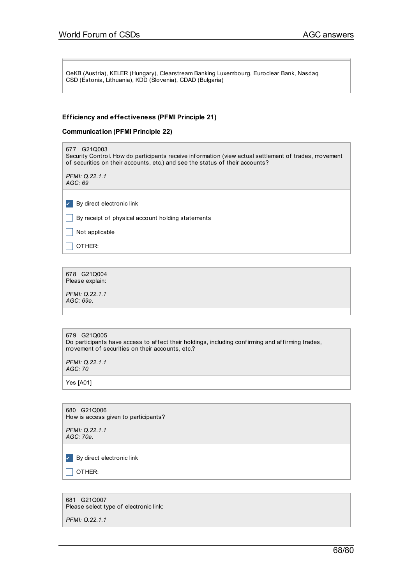OeKB (Austria), KELER (Hungary), Clearstream Banking Luxembourg, Euroclear Bank, Nasdaq CSD (Estonia, Lithuania), KDD (Slovenia), CDAD (Bulgaria)

# **Efficiency and effectiveness (PFMI Principle 21)**

# **Communication (PFMI Principle 22)**

| 677 G21Q003<br>Security Control. How do participants receive information (view actual settlement of trades, movement<br>of securities on their accounts, etc.) and see the status of their accounts? |
|------------------------------------------------------------------------------------------------------------------------------------------------------------------------------------------------------|
| PFMI: Q.22.1.1<br>AGC: 69                                                                                                                                                                            |
|                                                                                                                                                                                                      |
| By direct electronic link                                                                                                                                                                            |
| By receipt of physical account holding statements                                                                                                                                                    |
| Not applicable                                                                                                                                                                                       |
| OTHER:                                                                                                                                                                                               |
|                                                                                                                                                                                                      |

678 G21Q004 Please explain:

*PFMI: Q.22.1.1 AGC: 69a.*

| 679 G21Q005<br>Do participants have access to affect their holdings, including confirming and affirming trades,<br>movement of securities on their accounts, etc.? |
|--------------------------------------------------------------------------------------------------------------------------------------------------------------------|
|                                                                                                                                                                    |

*PFMI: Q.22.1.1 AGC: 70*

Yes [A01]

680 G21Q006 How is access given to participants?

*PFMI: Q.22.1.1 AGC: 70a.*

✔ By direct electronic link

 $\Box$  OTHER:

681 G21Q007 Please select type of electronic link:

*PFMI: Q.22.1.1*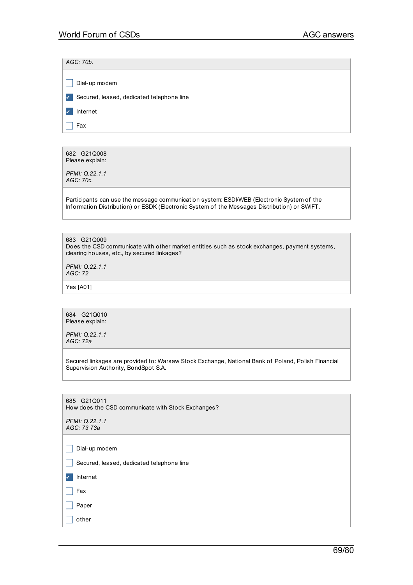*AGC: 70b.*

|               | Dial-up modem                             |
|---------------|-------------------------------------------|
| $\mathcal{L}$ | Secured, leased, dedicated telephone line |
| $\sqrt{2}$    | Internet                                  |
|               | Fax                                       |
|               |                                           |

682 G21Q008 Please explain:

*PFMI: Q.22.1.1 AGC: 70c.*

Participants can use the message communication system: ESDI/WEB (Electronic System of the Inf ormation Distribution) or ESDK (Electronic System of the Messages Distribution) or SWIFT.

683 G21Q009 Does the CSD communicate with other market entities such as stock exchanges, payment systems, clearing houses, etc., by secured linkages?

*PFMI: Q.22.1.1 AGC: 72*

Yes [A01]

684 G21Q010

Please explain:

*PFMI: Q.22.1.1 AGC: 72a*

Secured linkages are provided to: Warsaw Stock Exchange, National Bank of Poland, Polish Financial Supervision Authority, BondSpot S.A.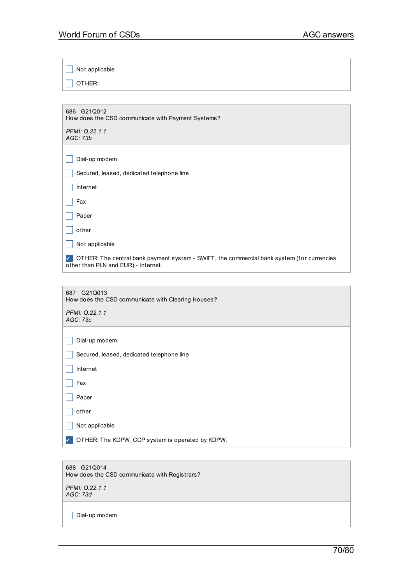$\Box$  Not applicable

 $\Box$  OTHER:

| 686 G21Q012<br>How does the CSD communicate with Payment Systems? |  |
|-------------------------------------------------------------------|--|
| PFMI: Q.22.1.1<br>AGC: 73b                                        |  |

| Dial-up modem |
|---------------|

|  |  |  |  | Secured, leased, dedicated telephone line |  |
|--|--|--|--|-------------------------------------------|--|
|--|--|--|--|-------------------------------------------|--|

| Internet |
|----------|
|----------|

 $\Box$  Paper

| Ω<br>пе<br>۰.<br>ш<br>п<br>۰.<br>œ |
|------------------------------------|
|------------------------------------|

 $\Box$  Not applicable

✔ OTHER: The central bank payment system - SWIFT, the commercial bank system (f or currencies other than PLN and EUR) - internet.

| 687 G21Q013                                        |
|----------------------------------------------------|
| How does the CSD communicate with Clearing Houses? |

*PFMI: Q.22.1.1 AGC: 73c*

 $\Box$  Secured, leased, dedicated telephone line

|  | Internet |
|--|----------|
|--|----------|

 $\Box$  Fax

| other |
|-------|
|       |

 $\Box$  Not applicable

✔ OTHER: The KDPW\_CCP system is operated by KDPW.

688 G21Q014 How does the CSD communicate with Registrars?

*PFMI: Q.22.1.1 AGC: 73d*

 $\Box$  Dial-up modem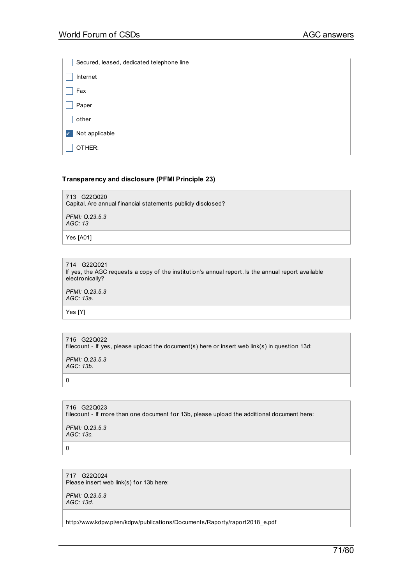|       | Secured, leased, dedicated telephone line |
|-------|-------------------------------------------|
|       | Internet                                  |
| Fax   |                                           |
| Paper |                                           |
| other |                                           |
|       | Not applicable                            |
|       | OTHER:                                    |

## **Transparency and disclosure (PFMI Principle 23)**

713 G22Q020 Capital. Are annual f inancial statements publicly disclosed?

*PFMI: Q.23.5.3 AGC: 13*

Yes [A01]

714 G22Q021 If yes, the AGC requests a copy of the institution's annual report. Is the annual report available electronically? *PFMI: Q.23.5.3*

*AGC: 13a.*

Yes [Y]

715 G22Q022 filecount - If yes, please upload the document(s) here or insert web link(s) in question 13d:

*PFMI: Q.23.5.3 AGC: 13b.*

0

716 G22Q023 filecount - If more than one document for 13b, please upload the additional document here:

*PFMI: Q.23.5.3 AGC: 13c.*

0

717 G22Q024 Please insert web link(s) for 13b here:

*PFMI: Q.23.5.3 AGC: 13d.*

http://www.kdpw.pl/en/kdpw/publications/Documents/Raporty/raport2018\_e.pdf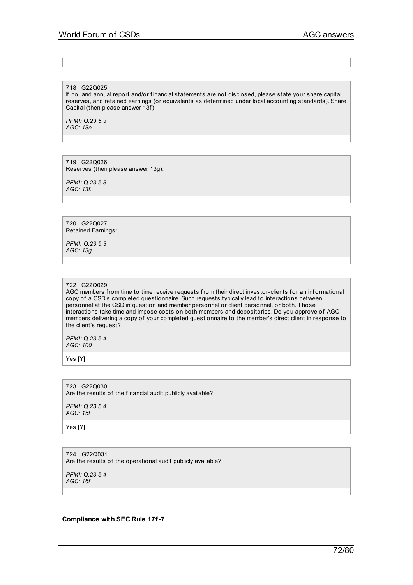#### 718 G22Q025

If no, and annual report and/or f inancial statements are not disclosed, please state your share capital, reserves, and retained earnings (or equivalents as determined under local accounting standards). Share Capital (then please answer 13f):

*PFMI: Q.23.5.3 AGC: 13e.*

719 G22Q026 Reserves (then please answer 13g):

*PFMI: Q.23.5.3 AGC: 13f.*

720 G22Q027 Retained Earnings:

*PFMI: Q.23.5.3 AGC: 13g.*

#### 722 G22Q029

AGC members from time to time receive requests from their direct investor-clients for an informational copy of a CSD's completed questionnaire. Such requests typically lead to interactions between personnel at the CSD in question and member personnel or client personnel, or both. Those interactions take time and impose costs on both members and depositories. Do you approve of AGC members delivering a copy of your completed questionnaire to the member's direct client in response to the client's request?

*PFMI: Q.23.5.4 AGC: 100*

Yes [Y]

723 G22Q030 Are the results of the financial audit publicly available?

*PFMI: Q.23.5.4 AGC: 15f*

Yes [Y]

724 G22Q031 Are the results of the operational audit publicly available?

*PFMI: Q.23.5.4 AGC: 16f*

**Compliance with SEC Rule 17f-7**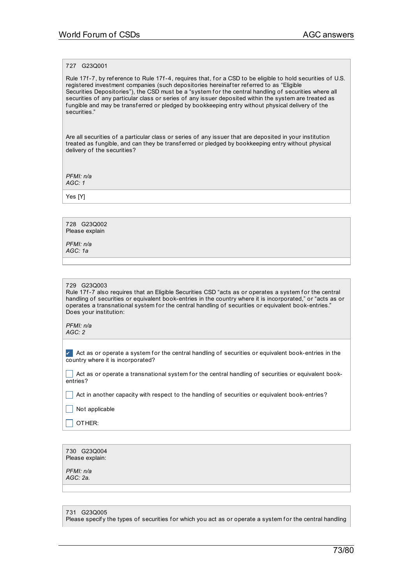# 727 G23Q001

Rule 17f-7, by reference to Rule 17f-4, requires that, for a CSD to be eligible to hold securities of U.S. registered investment companies (such depositories hereinaf ter ref erred to as "Eligible Securities Depositories"), the CSD must be a "system for the central handling of securities where all securities of any particular class or series of any issuer deposited within the system are treated as fungible and may be transferred or pledged by bookkeeping entry without physical delivery of the securities."

Are all securities of a particular class or series of any issuer that are deposited in your institution treated as fungible, and can they be transferred or pledged by bookkeeping entry without physical delivery of the securities?

*PFMI: n/a AGC: 1*

Yes [Y]

728 G23Q002 Please explain

*PFMI: n/a AGC: 1a*

#### 729 G23Q003

Rule 17f-7 also requires that an Eligible Securities CSD "acts as or operates a system for the central handling of securities or equivalent book-entries in the country where it is incorporated," or "acts as or operates a transnational system for the central handling of securities or equivalent book-entries." Does your institution:

*PFMI: n/a AGC: 2*

 $\blacktriangleright$  Act as or operate a system for the central handling of securities or equivalent book-entries in the country where it is incorporated?

 $\vert \ \vert$  Act as or operate a transnational system for the central handling of securities or equivalent bookentries?

 $\Box$  Act in another capacity with respect to the handling of securities or equivalent book-entries?

 $\Box$  Not applicable

 $\Box$  Other:

| 730 G23Q004     |
|-----------------|
| Please explain: |

*PFMI: n/a AGC: 2a.*

731 G23Q005

Please specify the types of securities for which you act as or operate a system for the central handling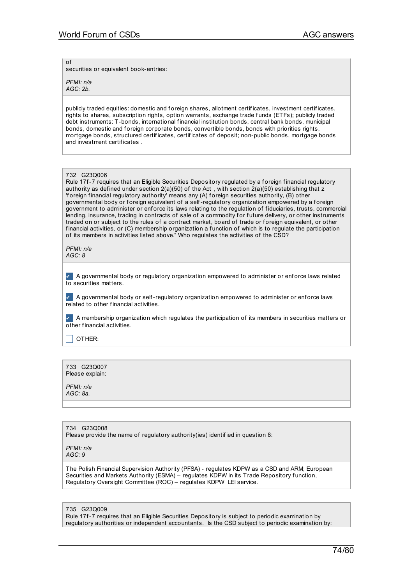of

securities or equivalent book-entries:

*PFMI: n/a AGC: 2b.*

publicly traded equities: domestic and foreign shares, allotment certificates, investment certificates, rights to shares, subscription rights, option warrants, exchange trade f unds (ETFs); publicly traded debt instruments: T-bonds, international financial institution bonds, central bank bonds, municipal bonds, domestic and foreign corporate bonds, convertible bonds, bonds with priorities rights, mortgage bonds, structured certif icates, certif icates of deposit; non-public bonds, mortgage bonds and investment certif icates .

### 732 G23Q006

Rule 17f-7 requires that an Eligible Securities Depository regulated by a foreign financial regulatory authority as defined under section  $2(a)(50)$  of the Act, with section  $2(a)(50)$  establishing that z 'f oreign f inancial regulatory authority' means any (A) f oreign securities authority, (B) other governmental body or f oreign equivalent of a self-regulatory organization empowered by a f oreign government to administer or enforce its laws relating to the regulation of fiduciaries, trusts, commercial lending, insurance, trading in contracts of sale of a commodity for future delivery, or other instruments traded on or subject to the rules of a contract market, board of trade or foreign equivalent, or other financial activities, or (C) membership organization a function of which is to regulate the participation of its members in activities listed above." Who regulates the activities of the CSD?

*PFMI: n/a AGC: 8*

✔ A governmental body or regulatory organization empowered to administer or enf orce laws related to securities matters.

✔ A governmental body or self-regulatory organization empowered to administer or enf orce laws related to other f inancial activities.

✔ A membership organization which regulates the participation of its members in securities matters or other f inancial activities.

 $\Box$  OTHER:

733 G23Q007 Please explain:

*PFMI: n/a AGC: 8a.*

734 G23Q008 Please provide the name of regulatory authority(ies) identif ied in question 8:

*PFMI: n/a AGC: 9*

The Polish Financial Supervision Authority (PFSA) - regulates KDPW as a CSD and ARM; European Securities and Markets Authority (ESMA) – regulates KDPW in its Trade Repository function, Regulatory Oversight Committee (ROC) – regulates KDPW\_LEI service.

#### 735 G23Q009

Rule 17f-7 requires that an Eligible Securities Depository is subject to periodic examination by regulatory authorities or independent accountants. Is the CSD subject to periodic examination by: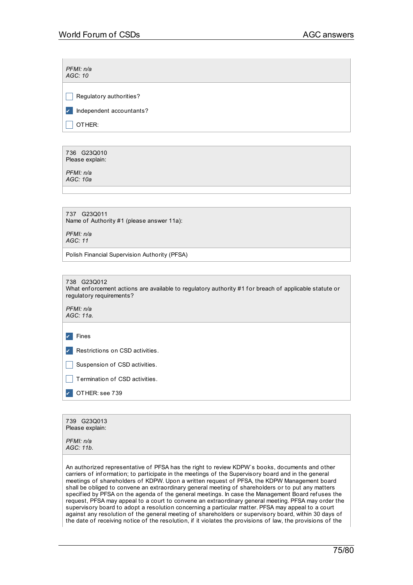| PFMI: n/a<br>AGC: 10                                                                                                                             |  |
|--------------------------------------------------------------------------------------------------------------------------------------------------|--|
| Regulatory authorities?                                                                                                                          |  |
| Independent accountants?<br>✓                                                                                                                    |  |
| OTHER:                                                                                                                                           |  |
|                                                                                                                                                  |  |
| 736 G23Q010<br>Please explain:                                                                                                                   |  |
| PFMI: n/a<br>AGC: 10a                                                                                                                            |  |
|                                                                                                                                                  |  |
| 737 G23Q011<br>Name of Authority #1 (please answer 11a):                                                                                         |  |
| PFMI: n/a<br>AGC: 11                                                                                                                             |  |
| Polish Financial Supervision Authority (PFSA)                                                                                                    |  |
|                                                                                                                                                  |  |
| 738 G23Q012<br>What enforcement actions are available to regulatory authority #1 for breach of applicable statute or<br>regulatory requirements? |  |
| PFMI: n/a<br>AGC: 11a.                                                                                                                           |  |
| Fines<br>✓                                                                                                                                       |  |
| Restrictions on CSD activities.                                                                                                                  |  |
| Suspension of CSD activities.                                                                                                                    |  |
| Termination of CSD activities.                                                                                                                   |  |
| OTHER: see 739<br>V                                                                                                                              |  |
|                                                                                                                                                  |  |
| 739 G23Q013<br>Please explain:                                                                                                                   |  |
| PFMI: n/a<br>AGC: 11b.                                                                                                                           |  |

An authorized representative of PFSA has the right to review KDPW`s books, documents and other carriers of information; to participate in the meetings of the Supervisory board and in the general meetings of shareholders of KDPW. Upon a written request of PFSA, the KDPW Management board shall be obliged to convene an extraordinary general meeting of shareholders or to put any matters specif ied by PFSA on the agenda of the general meetings. In case the Management Board ref uses the request, PFSA may appeal to a court to convene an extraordinary general meeting. PFSA may order the supervisory board to adopt a resolution concerning a particular matter. PFSA may appeal to a court against any resolution of the general meeting of shareholders or supervisory board, within 30 days of the date of receiving notice of the resolution, if it violates the provisions of law, the provisions of the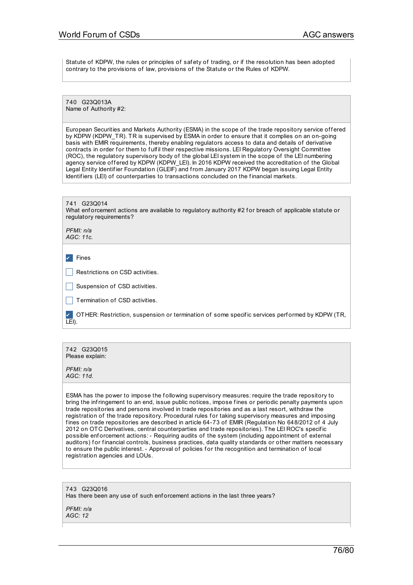Statute of KDPW, the rules or principles of safety of trading, or if the resolution has been adopted contrary to the provisions of law, provisions of the Statute or the Rules of KDPW.

740 G23Q013A Name of Authority #2:

European Securities and Markets Authority (ESMA) in the scope of the trade repository service offered by KDPW (KDPW\_TR). TR is supervised by ESMA in order to ensure that it complies on an on-going basis with EMIR requirements, thereby enabling regulators access to data and details of derivative contracts in order for them to fulfil their respective missions. LEI Regulatory Oversight Committee (ROC), the regulatory supervisory body of the global LEI system in the scope of the LEI numbering agency service offered by KDPW (KDPW\_LEI). In 2016 KDPW received the accreditation of the Global Legal Entity Identif ier Foundation (GLEIF) and from January 2017 KDPW began issuing Legal Entity Identifiers (LEI) of counterparties to transactions concluded on the financial markets.

| 741 G23Q014<br>What enforcement actions are available to regulatory authority #2 for breach of applicable statute or<br>regulatory requirements? |  |  |
|--------------------------------------------------------------------------------------------------------------------------------------------------|--|--|
| PFMI: n/a<br>AGC: 11c.                                                                                                                           |  |  |
| Fines                                                                                                                                            |  |  |
| Restrictions on CSD activities.                                                                                                                  |  |  |
| Suspension of CSD activities.                                                                                                                    |  |  |
| Termination of CSD activities.                                                                                                                   |  |  |
| OTHER: Restriction, suspension or termination of some specific services performed by KDPW (TR,<br>LEI).                                          |  |  |
|                                                                                                                                                  |  |  |

742 G23Q015 Please explain:

*PFMI: n/a AGC: 11d.*

ESMA has the power to impose the f ollowing supervisory measures: require the trade repository to bring the infringement to an end, issue public notices, impose f ines or periodic penalty payments upon trade repositories and persons involved in trade repositories and as a last resort, withdraw the registration of the trade repository. Procedural rules for taking supervisory measures and imposing f ines on trade repositories are described in article 64-73 of EMIR (Regulation No 648/2012 of 4 July 2012 on OTC Derivatives, central counterparties and trade repositories). The LEI ROC's specif ic possible enf orcement actions: - Requiring audits of the system (including appointment of external auditors) for financial controls, business practices, data quality standards or other matters necessary to ensure the public interest. - Approval of policies for the recognition and termination of local registration agencies and LOUs.

743 G23Q016 Has there been any use of such enforcement actions in the last three years?

*PFMI: n/a AGC: 12*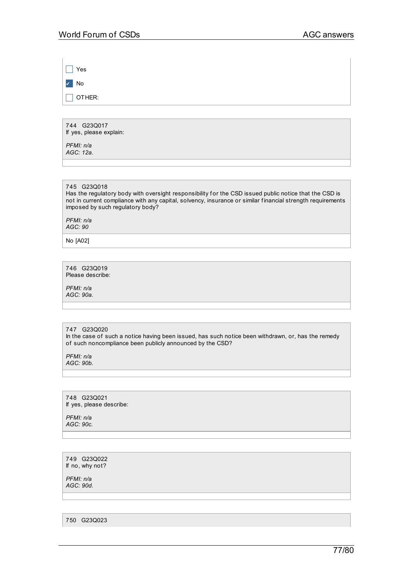$\Box$  Yes ✔ No  $\Box$  OTHER:

744 G23Q017 If yes, please explain:

*PFMI: n/a AGC: 12a.*

745 G23Q018

Has the regulatory body with oversight responsibility for the CSD issued public notice that the CSD is not in current compliance with any capital, solvency, insurance or similar f inancial strength requirements imposed by such regulatory body?

*PFMI: n/a AGC: 90*

No [A02]

746 G23Q019 Please describe:

*PFMI: n/a AGC: 90a.*

### 747 G23Q020

In the case of such a notice having been issued, has such notice been withdrawn, or, has the remedy of such noncompliance been publicly announced by the CSD?

*PFMI: n/a AGC: 90b.*

748 G23Q021 If yes, please describe:

*PFMI: n/a AGC: 90c.*

749 G23Q022 If no, why not?

*PFMI: n/a AGC: 90d.*

750 G23Q023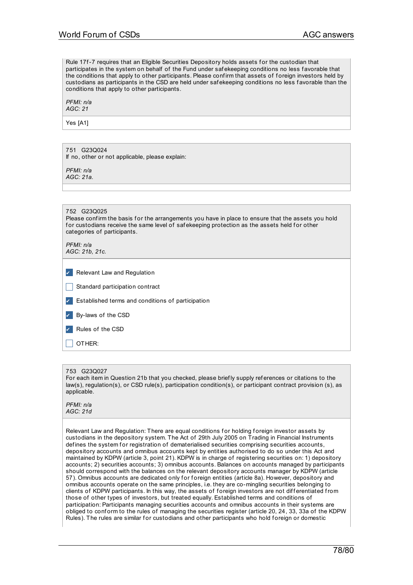Rule 17f-7 requires that an Eligible Securities Depository holds assets for the custodian that participates in the system on behalf of the Fund under saf ekeeping conditions no less f avorable that the conditions that apply to other participants. Please confirm that assets of foreign investors held by custodians as participants in the CSD are held under saf ekeeping conditions no less f avorable than the conditions that apply to other participants.

*PFMI: n/a AGC: 21*

Yes [A1]

751 G23Q024 If no, other or not applicable, please explain:

*PFMI: n/a AGC: 21a.*

|                             | G23Q025<br>752<br>Please confirm the basis for the arrangements you have in place to ensure that the assets you hold<br>for custodians receive the same level of safekeeping protection as the assets held for other<br>categories of participants. |
|-----------------------------|-----------------------------------------------------------------------------------------------------------------------------------------------------------------------------------------------------------------------------------------------------|
|                             | PFMI: n/a<br>AGC: 21b, 21c.                                                                                                                                                                                                                         |
| Relevant Law and Regulation |                                                                                                                                                                                                                                                     |

| Standard participation contract                          |
|----------------------------------------------------------|
| $\sim$ Established terms and conditions of participation |
| By-laws of the CSD                                       |
| $\angle$ Rules of the CSD                                |
| OTHER:                                                   |

### 753 G23Q027

For each item in Question 21b that you checked, please briefly supply references or citations to the law(s), regulation(s), or CSD rule(s), participation condition(s), or participant contract provision (s), as applicable.

*PFMI: n/a AGC: 21d*

Relevant Law and Regulation: There are equal conditions for holding foreign investor assets by custodians in the depository system. The Act of 29th July 2005 on Trading in Financial Instruments defines the system for registration of dematerialised securities comprising securities accounts, depository accounts and omnibus accounts kept by entities authorised to do so under this Act and maintained by KDPW (article 3, point 21). KDPW is in charge of registering securities on: 1) depository accounts; 2) securities accounts; 3) omnibus accounts. Balances on accounts managed by participants should correspond with the balances on the relevant depository accounts manager by KDPW (article 57). Omnibus accounts are dedicated only for foreign entities (article 8a). However, depository and omnibus accounts operate on the same principles, i.e. they are co-mingling securities belonging to clients of KDPW participants. In this way, the assets of foreign investors are not differentiated from those of other types of investors, but treated equally. Established terms and conditions of participation: Participants managing securities accounts and omnibus accounts in their systems are obliged to conform to the rules of managing the securities register (article 20, 24, 33, 33a of the KDPW Rules). The rules are similar for custodians and other participants who hold foreign or domestic